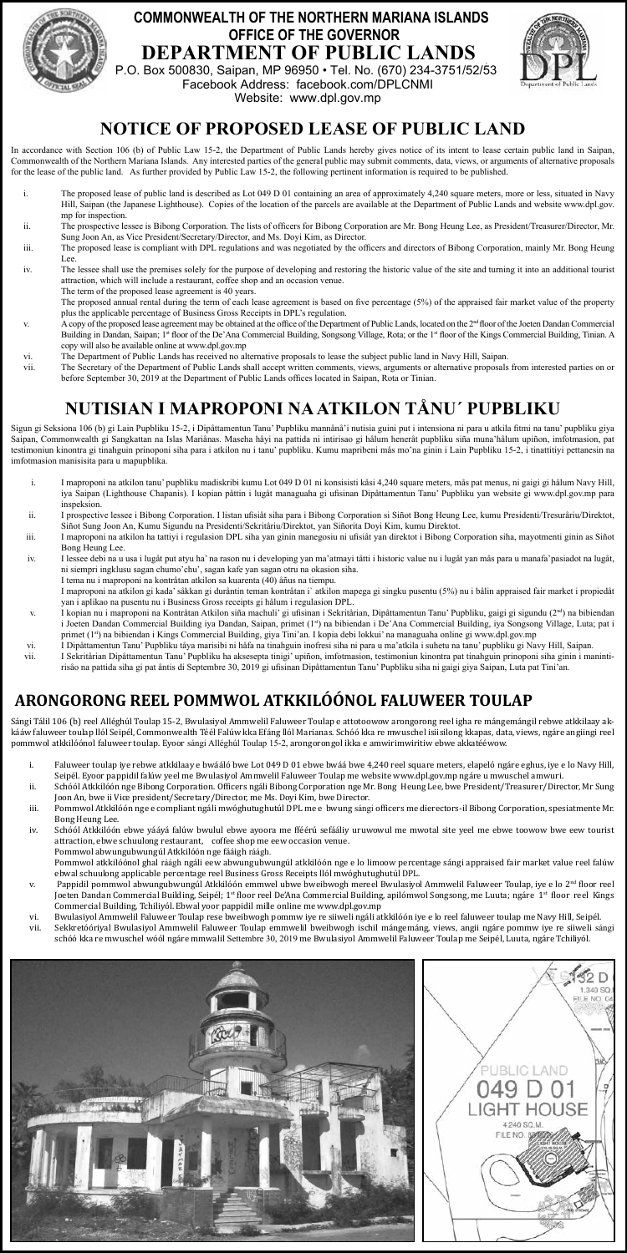

#### **DEPARTMENT OF PUBLIC LANDS COMMONWEALTH OF THE NORTHERN MARIANA ISLANDS OFFICE OF THE GOVERNOR**

P.O. Box 500830, Saipan, MP 96950 • Tel. No. (670) 234-3751/52/53 Facebook Address: facebook.com/DPLCNMI Website: www.dpl.gov.mp



# **NOTICE OF PROPOSED LEASE OF PUBLIC LAND**

In accordance with Section 106 (b) of Public Law 15-2, the Department of Public Lands hereby gives notice of its intent to lease certain public land in Saipan, Commonwealth of the Northern Mariana Islands. Any interested parties of the general public may submit comments, data, views, or arguments of alternative proposals<br>for the lease of the public land. As further provided by Pu

- The proposed lease of public land is described as Lot 049 D 01 containing an area of approximately 4,240 square meters, more or less, situated in Navy Hill, Saipan (the Japanese Lighthouse). Copies of the location of the parcels are available at the Department of Public Lands and website www.dpl.gov. mp for inspection.
- ii. The prospective lessee is Bibong Corporation. The lists of officers for Bibong Corporation are Mr. Bong Heung Lee, as President/Treasurer/Director, Mr. Sung Joon An, as Vice President/Secretary/Director, and Ms. Doyi Kim, as Director.
- iii. The proposed lease is compliant with DPL regulations and was negotiated by the officers and directors of Bibong Corporation, mainly Mr. Bong Heung
- Lee.<br>The lessee shall use the premises solely for the purpose of developing and restoring the historic value of the site and turning it into an additional tourist<br>attraction, which will include a restaurant, coffee shop an The term of the proposed lease agreement is 40 years
- The proposed annual rental during the term of each lease agreement is based on five percentage (5%) of the appraised fair market value of the property plus the applicable percentage of Business Gross Receipts in DPL's regulation.
- v. A copy of the proposed lease agreement may be obtained at the office of the Department of Public Lands, located on the 2<sup>nd</sup> floor of the Joeten Dandan Commercial<br>Building in Dandan, Saipan; 1<sup>st</sup> floor of the De'Ana Co
- copy will also be available online at www.dpl.gov.mp vi. The Department of Public Lands has received no alternative proposals to lease the subject public land in Navy Hill, Saipan.
- vii. The Secretary of the Department of Public Lands shall accept written comments, views, arguments or alternative proposals from interested parties on or before September 30, 2019 at the Department of Public Lands offices located in Saipan, Rota or Tinian.

# **NUTISIAN I MAPROPONI NA ATKILON TÅNU´ PUPBLIKU**

Sigun gi Seksiona 106 (b) gi Lain Pupbliku 15-2, i Dipåttamentun Tanu' Pupbliku mannånå'i nutisia guini put i intensiona ni para u atkila fitmi na tanu' pupbliku giya<br>Saipan, Commonwealth gi Sangkattan na Islas Mariånas. M testimoniun kinontra gi tinahguin prinoponi siha para i atkilon nu i tanu' pupbliku. Kumu mapribeni mås mo'na ginin i Lain Pupbliku 15-2, i tinattitiyi pettanesin na imfotmasion manisisita para u mapupblika.

- i. I maproponi na atkilon tanu' pupbliku madiskribi kumu Lot 049 D 01 ni konsisisti kåsi 4,240 square meters, mås pat menus, ni gaigi gi hålum Navy Hill,<br>iya Saipan (Lighthouse Chapanis). I kopian påttin i lugåt managuaha inspeksion.
- ii. I prospective lessee i Bibong Corporation. I listan ufisiåt siha para i Bibong Corporation si Siñot Bong Heung Lee, kumu Presidenti/Tresuråriu/Direktot, Siñot Sung Joon An, Kumu Sigundu na Presidenti/Sekritåriu/Direktot, yan Siñorita Doyi Kim, kumu Direktot.
- iii. I maproponi na atkilon ha tattiyi i regulasion DPL siha yan ginin manegosiu ni ufisiåt yan direktot i Bibong Corporation siha, mayotmenti ginin as Siñot Bong Heung Lee.
- iv. I lessee debi na u usa i lugåt put atyu ha' na rason nu i developing yan ma'atmayi tåtti i historic value nu i lugåt yan mås para u manafa'pasiadot na lugåt, ni siempri ingklusu sagan chumo'chu', sagan kafe yan sagan otru na okasion siha.
- I tema nu i maproponi na kontråtan atkilon sa kuarenta (40) åñus na tiempu. I maproponi na atkilon gi kada' såkkan gi duråntin teman kontråtan i` atkilon mapega gi singku pusentu (5%) nu i bålin appraised fair market i propiedåt yan i aplikao na pusentu nu i Business Gross receipts gi hålum i regulasion DPL.
- v. I kopian nu i maproponi na Kontråtan Atkilon siña machuli' gi ufisinan i Sekritårian, Dipåttamentun Tanu' Pupbliku, gaigi gi sigundu (2nd) na bibiendan<br>I Joeten Dandan Commercial Building iya Dandan, Saipan, primet (1ª) primet (1st) na bibiendan i Kings Commercial Building, giya Tini'an. I kopia debi lokkui' na managuaha online gi www.dpl.gov.mp
	-
- vi. I Dipåttamentun Tanu' Pupbliku tåya marisibi ni håfa na tinahguin inofresi siha ni para u ma'atkila i suhetu na tanu' pupbliku gi Navy Hill, Saipan.<br>Vii. I Sekritårian Dipåttamentun Tanu' Pupbliku ha aksesepta tinigi' risåo na pattida siha gi pat åntis di Septembre 30, 2019 gi ufisinan Dipåttamentun Tanu' Pupbliku siha ni gaigi giya Saipan, Luta pat Tini'an.

# **ARONGORONG REEL POMMWOL ATKKILÓÓNOL FALUWEER TOULAP**

Sángi Tálil 106 (b) reel Alléghúl Toulap 15-2, Bwulasiyol Ammwelil Faluweer Toulap e attotoowow arongorong reel igha re mángemángil rebwe atkkilaay ak-<br>kááw faluweer toulap llól Seipél, Commonwealth Téél Falúw kka Efáng ll pommwol atkkilóónol faluweer toulap. Eyoor sángi Alléghúl Toulap 15-2, arongorongol ikka e amwirimwiritiw ebwe akkatééwow.

- i. Faluweer toulap iye rebwe atkkilaay e bwaalo bwe Lot 049 D 01 ebwe bwaa bwe 4,240 reel square meters, elapelo ngare eghus, iye e lo Navy Hill,<br>Seipél. Eyoor pappidil falúw yeel me Bwulasiyol Ammwelil Faluweer Toulap me
- Joon An, bwe ii Vice president/Secretary/Director, me Ms. Doyi Kim, bwe Director.
- iii. Pommwol Atkkilóón nge e compliant ngáli mwóghutughutúl DPL me e bwung sángi officers me dierectors-il Bibong Corporation, spesiatmente Mr. Bong Heung Lee.
- iv. Schóól Atkkilóón ebwe yááyá falúw bwulul ebwe ayoora me fféérú sefááliy uruwowul me mwotal site yeel me ebwe toowow bwe eew tourist attraction, ebwe schuulong restaurant, coffee shop me eew occasion venue. Pommwol abwungubwungúl Atkkilóón nge fááigh ráágh.
- Pommwol atkkilóónol ghal ráágh ngáli eew abwungubwungúl atkkilóón nge e lo limoow percentage sángi appraised fair market value reel falúw<br>ebwal schuulong applicable percentage reel Business Gross Receipts llól mwóghutughut
- v. Pappidil pommwol abwungubwungúl Atkkilóón emmwel ubwe bweibwogh mereel Bwulasiyol Ammwelil Faluweer Toulap, iye e lo 2ªª floor reel<br>Joeten Dandan Commercial Building, Seipél; 1ª floor reel De'Ana Commercial Building, ap Commercial Building, Tchiliyól. Ebwal yoor pappidil mille online me www.dpl.gov.mp
- vi. Bwulasiyol Ammwelil Faluweer Toulap rese bweibwogh pommw iye re siiweli ngali atkkilöön iye e lo reel taluweer toulap me Navy Hill, Seipel.<br>vii. Sekkretóóriyal Bwulasiyol Ammwelil Faluweer Toulap emmwelil bweibwogh isc
- schóó kka re mwuschel wóól ngáre mmwalil Settembre 30, 2019 me Bwulasiyol Ammwelil Faluweer Toulap me Seipél, Luuta, ngáre Tchiliyól.

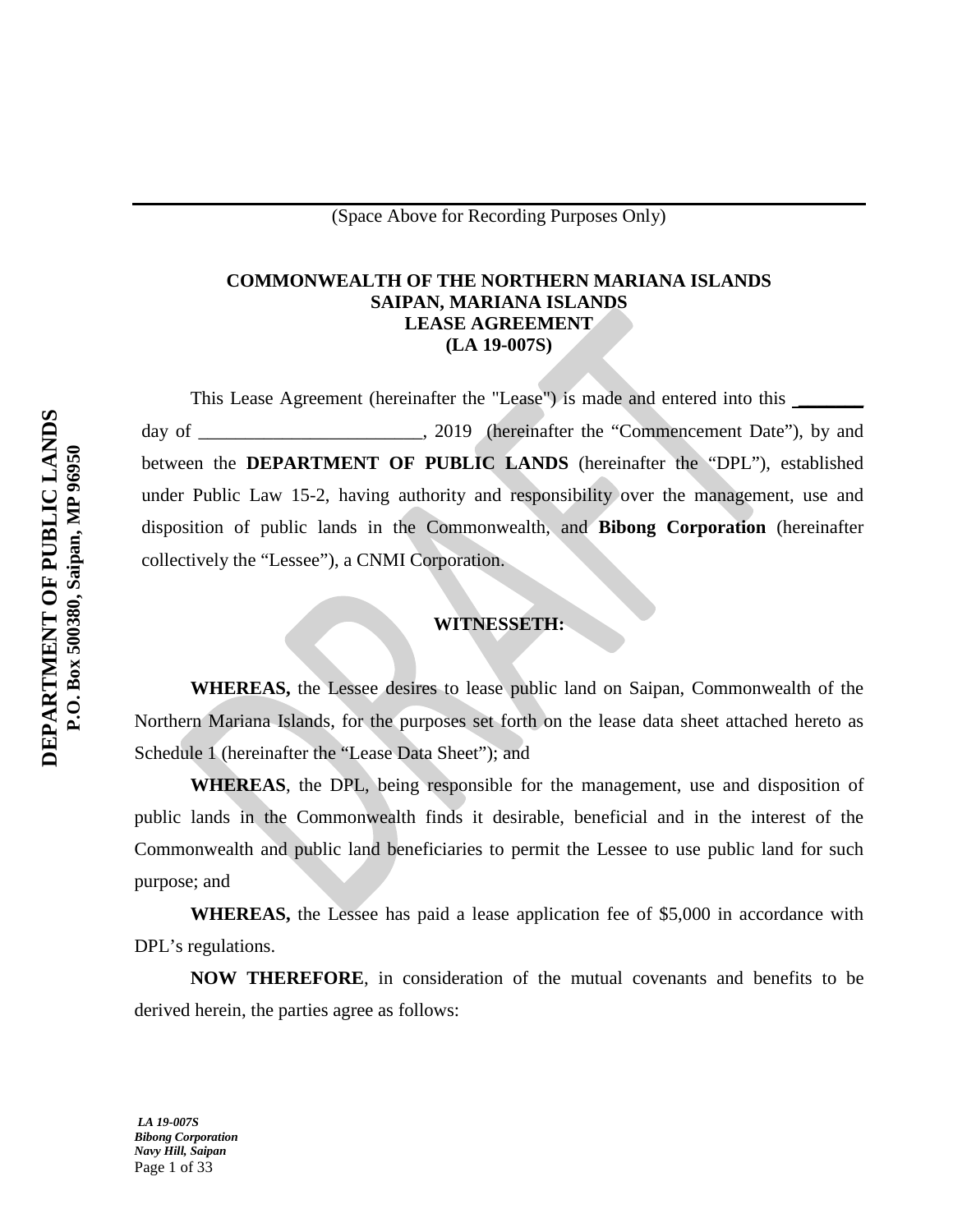# **COMMONWEALTH OF THE NORTHERN MARIANA ISLANDS SAIPAN, MARIANA ISLANDS LEASE AGREEMENT (LA 19-007S)**

This Lease Agreement (hereinafter the "Lease") is made and entered into this \_\_\_\_\_\_\_\_ day of \_\_\_\_\_\_\_\_\_\_\_\_\_\_\_\_\_\_\_\_\_\_\_, 2019 (hereinafter the "Commencement Date"), by and between the **DEPARTMENT OF PUBLIC LANDS** (hereinafter the "DPL"), established under Public Law 15-2, having authority and responsibility over the management, use and disposition of public lands in the Commonwealth, and **Bibong Corporation** (hereinafter collectively the "Lessee"), a CNMI Corporation.

# **WITNESSETH:**

**WHEREAS,** the Lessee desires to lease public land on Saipan, Commonwealth of the Northern Mariana Islands, for the purposes set forth on the lease data sheet attached hereto as Schedule 1 (hereinafter the "Lease Data Sheet"); and

**WHEREAS**, the DPL, being responsible for the management, use and disposition of public lands in the Commonwealth finds it desirable, beneficial and in the interest of the Commonwealth and public land beneficiaries to permit the Lessee to use public land for such purpose; and

**WHEREAS,** the Lessee has paid a lease application fee of \$5,000 in accordance with DPL's regulations.

**NOW THEREFORE**, in consideration of the mutual covenants and benefits to be derived herein, the parties agree as follows:

*LA 19-007S Bibong Corporation Navy Hill, Saipan* Page 1 of 33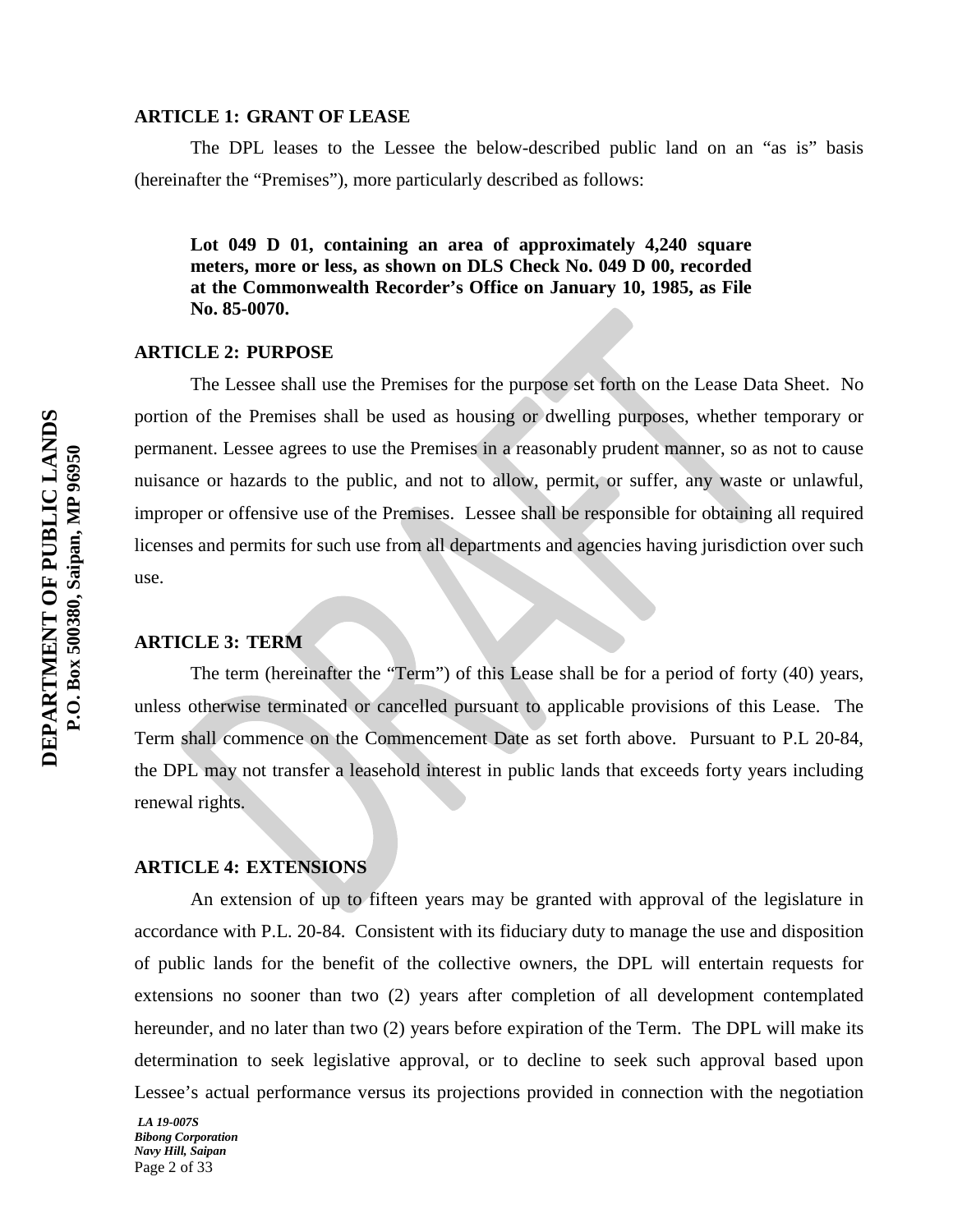#### **ARTICLE 1: GRANT OF LEASE**

The DPL leases to the Lessee the below-described public land on an "as is" basis (hereinafter the "Premises"), more particularly described as follows:

**Lot 049 D 01, containing an area of approximately 4,240 square meters, more or less, as shown on DLS Check No. 049 D 00, recorded at the Commonwealth Recorder's Office on January 10, 1985, as File No. 85-0070.**

#### **ARTICLE 2: PURPOSE**

The Lessee shall use the Premises for the purpose set forth on the Lease Data Sheet. No portion of the Premises shall be used as housing or dwelling purposes, whether temporary or permanent. Lessee agrees to use the Premises in a reasonably prudent manner, so as not to cause nuisance or hazards to the public, and not to allow, permit, or suffer, any waste or unlawful, improper or offensive use of the Premises. Lessee shall be responsible for obtaining all required licenses and permits for such use from all departments and agencies having jurisdiction over such use.

## **ARTICLE 3: TERM**

The term (hereinafter the "Term") of this Lease shall be for a period of forty (40) years, unless otherwise terminated or cancelled pursuant to applicable provisions of this Lease. The Term shall commence on the Commencement Date as set forth above. Pursuant to P.L 20-84, the DPL may not transfer a leasehold interest in public lands that exceeds forty years including renewal rights.

#### **ARTICLE 4: EXTENSIONS**

An extension of up to fifteen years may be granted with approval of the legislature in accordance with P.L. 20-84. Consistent with its fiduciary duty to manage the use and disposition of public lands for the benefit of the collective owners, the DPL will entertain requests for extensions no sooner than two (2) years after completion of all development contemplated hereunder, and no later than two (2) years before expiration of the Term. The DPL will make its determination to seek legislative approval, or to decline to seek such approval based upon Lessee's actual performance versus its projections provided in connection with the negotiation

*LA 19-007S Bibong Corporation Navy Hill, Saipan* Page 2 of 33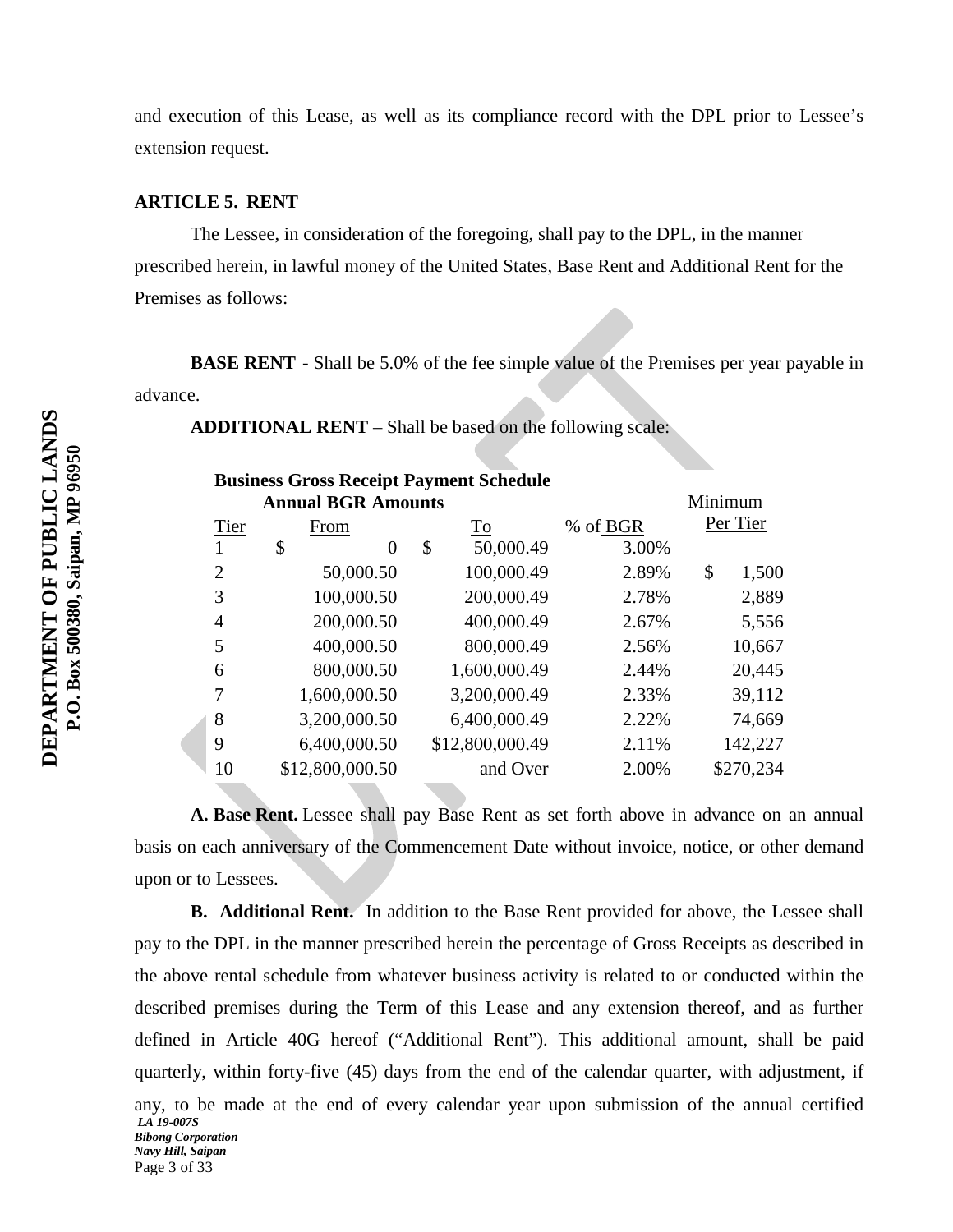and execution of this Lease, as well as its compliance record with the DPL prior to Lessee's extension request.

#### **ARTICLE 5. RENT**

The Lessee, in consideration of the foregoing, shall pay to the DPL, in the manner prescribed herein, in lawful money of the United States, Base Rent and Additional Rent for the Premises as follows:

**BASE RENT** - Shall be 5.0% of the fee simple value of the Premises per year payable in advance.

 $M:$   $\ldots$ 

**ADDITIONAL RENT** – Shall be based on the following scale:

| <b>Business Gross Receipt Payment Schedule</b> |
|------------------------------------------------|
| <b>Annual BGR Amounts</b>                      |

|      | Annual B&K Amounts |    |                 | <u>ivi ini mum</u> |    |           |  |
|------|--------------------|----|-----------------|--------------------|----|-----------|--|
| Tier | From               |    | To              | % of BGR           |    | Per Tier  |  |
|      | \$<br>$\theta$     | \$ | 50,000.49       | 3.00%              |    |           |  |
| 2    | 50,000.50          |    | 100,000.49      | 2.89%              | \$ | 1,500     |  |
| 3    | 100,000.50         |    | 200,000.49      | 2.78%              |    | 2,889     |  |
| 4    | 200,000.50         |    | 400,000.49      | 2.67%              |    | 5,556     |  |
| 5    | 400,000.50         |    | 800,000.49      | 2.56%              |    | 10,667    |  |
| 6    | 800,000.50         |    | 1,600,000.49    | 2.44%              |    | 20,445    |  |
| 7    | 1,600,000.50       |    | 3,200,000.49    | 2.33%              |    | 39,112    |  |
| 8    | 3,200,000.50       |    | 6,400,000.49    | 2.22%              |    | 74,669    |  |
| 9    | 6,400,000.50       |    | \$12,800,000.49 | 2.11%              |    | 142,227   |  |
| 10   | \$12,800,000.50    |    | and Over        | 2.00%              |    | \$270,234 |  |
|      |                    |    |                 |                    |    |           |  |

**A. Base Rent.** Lessee shall pay Base Rent as set forth above in advance on an annual basis on each anniversary of the Commencement Date without invoice, notice, or other demand upon or to Lessees.

*LA 19-007S Bibong Corporation Navy Hill, Saipan* Page 3 of 33 **B. Additional Rent.** In addition to the Base Rent provided for above, the Lessee shall pay to the DPL in the manner prescribed herein the percentage of Gross Receipts as described in the above rental schedule from whatever business activity is related to or conducted within the described premises during the Term of this Lease and any extension thereof, and as further defined in Article 40G hereof ("Additional Rent"). This additional amount, shall be paid quarterly, within forty-five (45) days from the end of the calendar quarter, with adjustment, if any, to be made at the end of every calendar year upon submission of the annual certified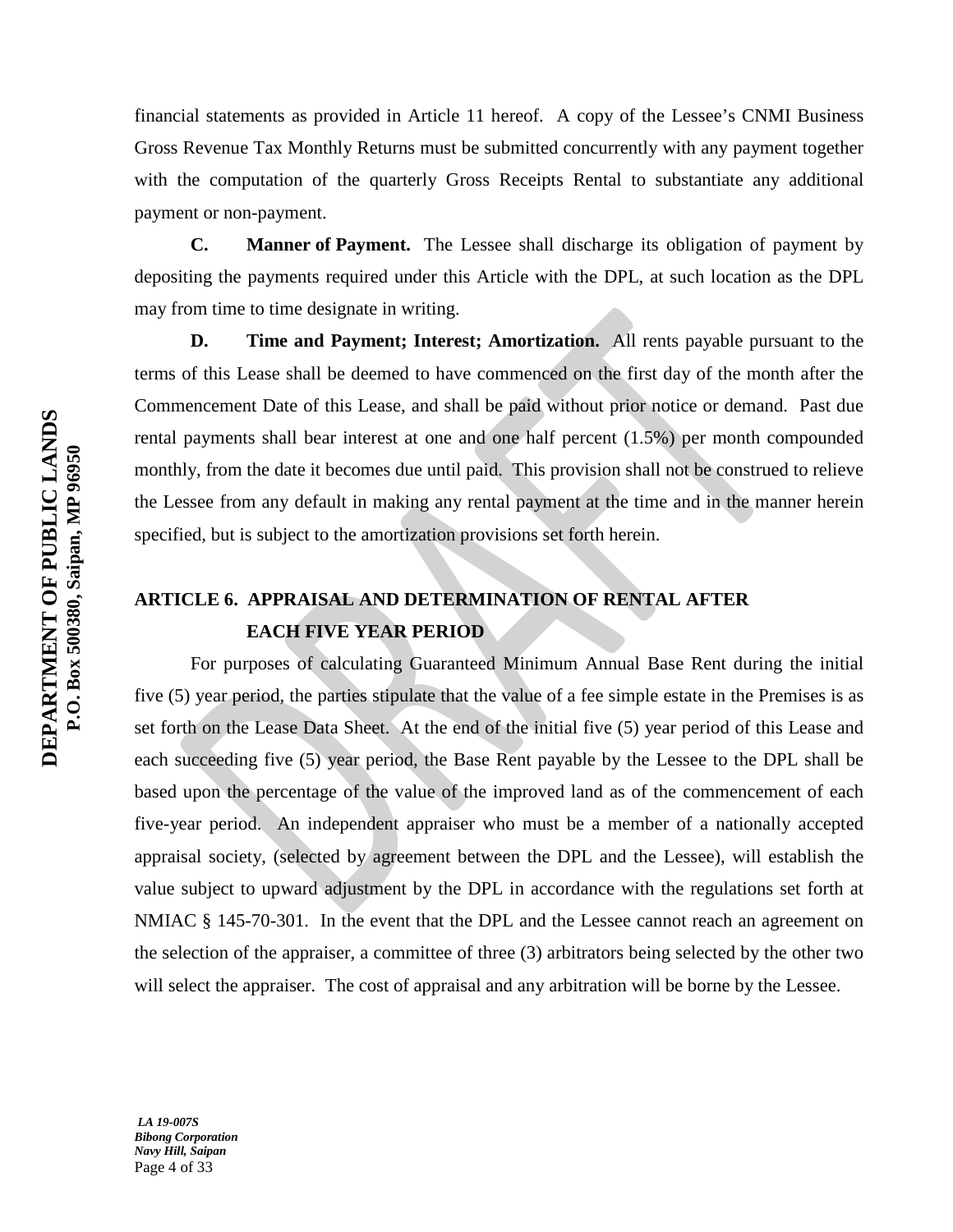financial statements as provided in Article 11 hereof. A copy of the Lessee's CNMI Business Gross Revenue Tax Monthly Returns must be submitted concurrently with any payment together with the computation of the quarterly Gross Receipts Rental to substantiate any additional payment or non-payment.

**C. Manner of Payment.** The Lessee shall discharge its obligation of payment by depositing the payments required under this Article with the DPL, at such location as the DPL may from time to time designate in writing.

**D. Time and Payment; Interest; Amortization.** All rents payable pursuant to the terms of this Lease shall be deemed to have commenced on the first day of the month after the Commencement Date of this Lease, and shall be paid without prior notice or demand. Past due rental payments shall bear interest at one and one half percent (1.5%) per month compounded monthly, from the date it becomes due until paid. This provision shall not be construed to relieve the Lessee from any default in making any rental payment at the time and in the manner herein specified, but is subject to the amortization provisions set forth herein.

# **ARTICLE 6. APPRAISAL AND DETERMINATION OF RENTAL AFTER EACH FIVE YEAR PERIOD**

For purposes of calculating Guaranteed Minimum Annual Base Rent during the initial five (5) year period, the parties stipulate that the value of a fee simple estate in the Premises is as set forth on the Lease Data Sheet. At the end of the initial five (5) year period of this Lease and each succeeding five (5) year period, the Base Rent payable by the Lessee to the DPL shall be based upon the percentage of the value of the improved land as of the commencement of each five-year period. An independent appraiser who must be a member of a nationally accepted appraisal society, (selected by agreement between the DPL and the Lessee), will establish the value subject to upward adjustment by the DPL in accordance with the regulations set forth at NMIAC § 145-70-301. In the event that the DPL and the Lessee cannot reach an agreement on the selection of the appraiser, a committee of three (3) arbitrators being selected by the other two will select the appraiser. The cost of appraisal and any arbitration will be borne by the Lessee.

*LA 19-007S Bibong Corporation Navy Hill, Saipan* Page 4 of 33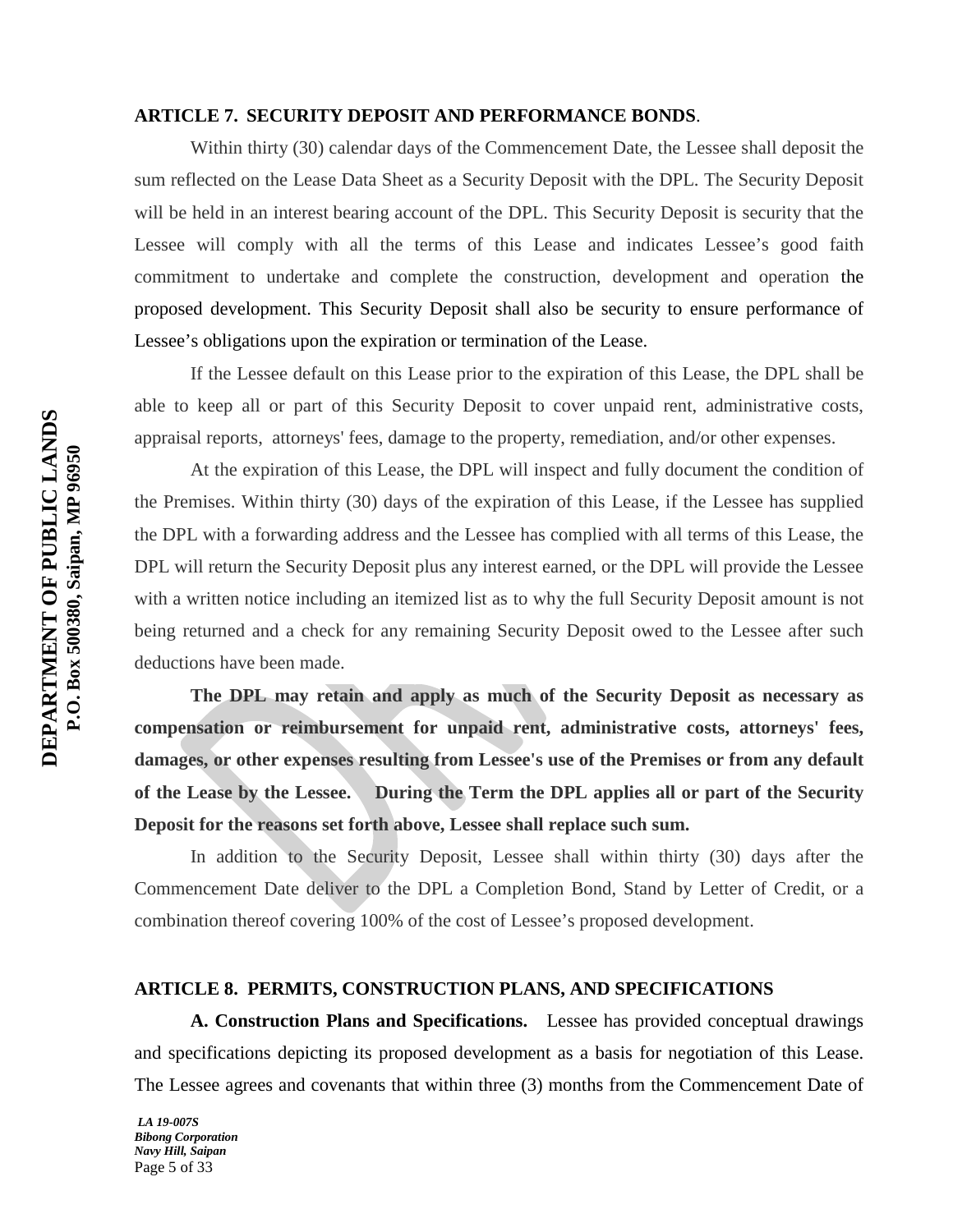#### **ARTICLE 7. SECURITY DEPOSIT AND PERFORMANCE BONDS**.

Within thirty (30) calendar days of the Commencement Date, the Lessee shall deposit the sum reflected on the Lease Data Sheet as a Security Deposit with the DPL. The Security Deposit will be held in an interest bearing account of the DPL. This Security Deposit is security that the Lessee will comply with all the terms of this Lease and indicates Lessee's good faith commitment to undertake and complete the construction, development and operation the proposed development. This Security Deposit shall also be security to ensure performance of Lessee's obligations upon the expiration or termination of the Lease.

If the Lessee default on this Lease prior to the expiration of this Lease, the DPL shall be able to keep all or part of this Security Deposit to cover unpaid rent, administrative costs, appraisal reports, attorneys' fees, damage to the property, remediation, and/or other expenses.

At the expiration of this Lease, the DPL will inspect and fully document the condition of the Premises. Within thirty (30) days of the expiration of this Lease, if the Lessee has supplied the DPL with a forwarding address and the Lessee has complied with all terms of this Lease, the DPL will return the Security Deposit plus any interest earned, or the DPL will provide the Lessee with a written notice including an itemized list as to why the full Security Deposit amount is not being returned and a check for any remaining Security Deposit owed to the Lessee after such deductions have been made.

**The DPL may retain and apply as much of the Security Deposit as necessary as compensation or reimbursement for unpaid rent, administrative costs, attorneys' fees, damages, or other expenses resulting from Lessee's use of the Premises or from any default of the Lease by the Lessee. During the Term the DPL applies all or part of the Security Deposit for the reasons set forth above, Lessee shall replace such sum.**

In addition to the Security Deposit, Lessee shall within thirty (30) days after the Commencement Date deliver to the DPL a Completion Bond, Stand by Letter of Credit, or a combination thereof covering 100% of the cost of Lessee's proposed development.

# **ARTICLE 8. PERMITS, CONSTRUCTION PLANS, AND SPECIFICATIONS**

**A. Construction Plans and Specifications.** Lessee has provided conceptual drawings and specifications depicting its proposed development as a basis for negotiation of this Lease. The Lessee agrees and covenants that within three (3) months from the Commencement Date of

*LA 19-007S Bibong Corporation Navy Hill, Saipan* Page 5 of 33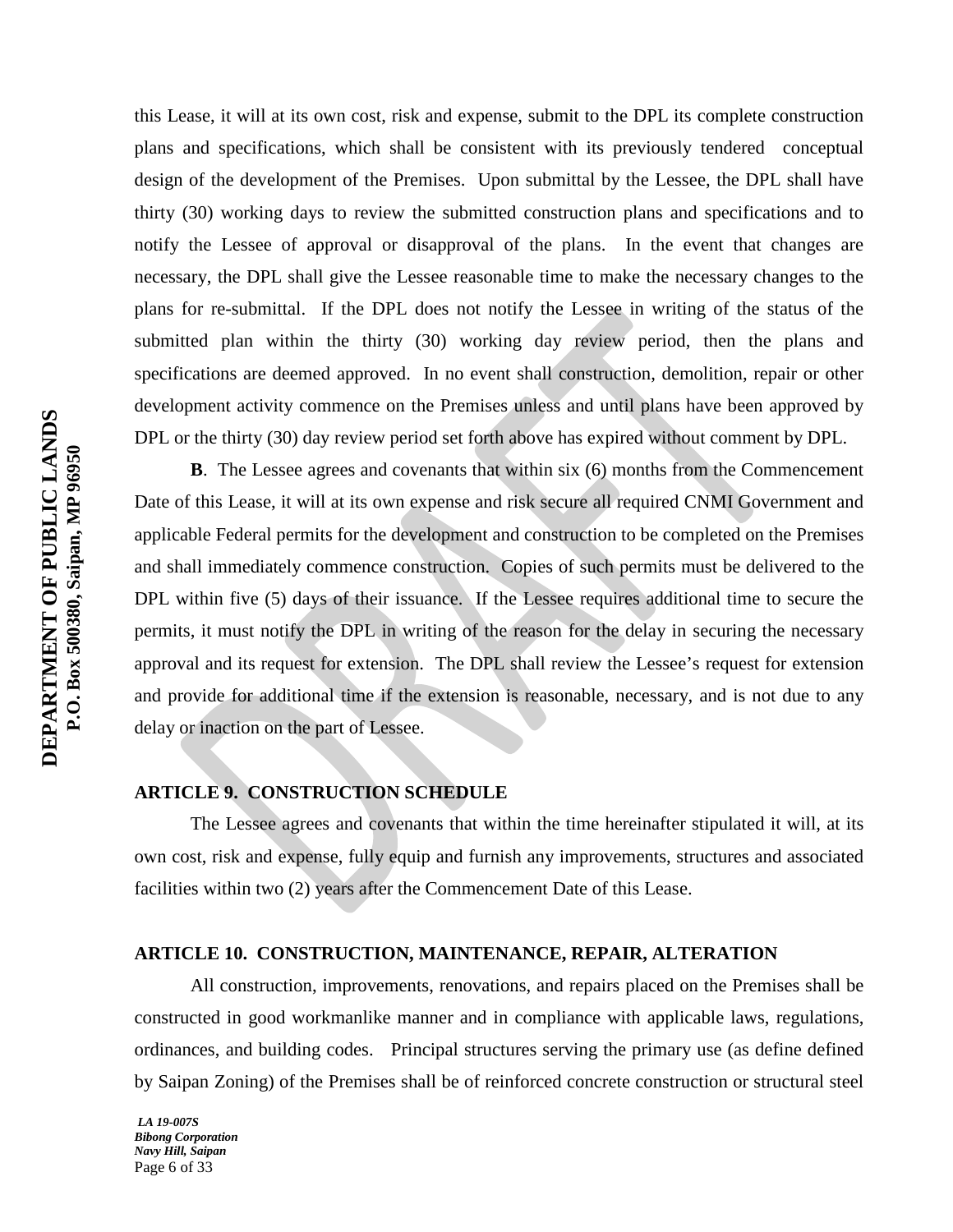this Lease, it will at its own cost, risk and expense, submit to the DPL its complete construction plans and specifications, which shall be consistent with its previously tendered conceptual design of the development of the Premises. Upon submittal by the Lessee, the DPL shall have thirty (30) working days to review the submitted construction plans and specifications and to notify the Lessee of approval or disapproval of the plans. In the event that changes are necessary, the DPL shall give the Lessee reasonable time to make the necessary changes to the plans for re-submittal. If the DPL does not notify the Lessee in writing of the status of the submitted plan within the thirty (30) working day review period, then the plans and specifications are deemed approved. In no event shall construction, demolition, repair or other development activity commence on the Premises unless and until plans have been approved by DPL or the thirty (30) day review period set forth above has expired without comment by DPL.

**B**. The Lessee agrees and covenants that within six (6) months from the Commencement Date of this Lease, it will at its own expense and risk secure all required CNMI Government and applicable Federal permits for the development and construction to be completed on the Premises and shall immediately commence construction. Copies of such permits must be delivered to the DPL within five (5) days of their issuance. If the Lessee requires additional time to secure the permits, it must notify the DPL in writing of the reason for the delay in securing the necessary approval and its request for extension. The DPL shall review the Lessee's request for extension and provide for additional time if the extension is reasonable, necessary, and is not due to any delay or inaction on the part of Lessee.

# **ARTICLE 9. CONSTRUCTION SCHEDULE**

The Lessee agrees and covenants that within the time hereinafter stipulated it will, at its own cost, risk and expense, fully equip and furnish any improvements, structures and associated facilities within two (2) years after the Commencement Date of this Lease.

## **ARTICLE 10. CONSTRUCTION, MAINTENANCE, REPAIR, ALTERATION**

All construction, improvements, renovations, and repairs placed on the Premises shall be constructed in good workmanlike manner and in compliance with applicable laws, regulations, ordinances, and building codes. Principal structures serving the primary use (as define defined by Saipan Zoning) of the Premises shall be of reinforced concrete construction or structural steel

*LA 19-007S Bibong Corporation Navy Hill, Saipan* Page 6 of 33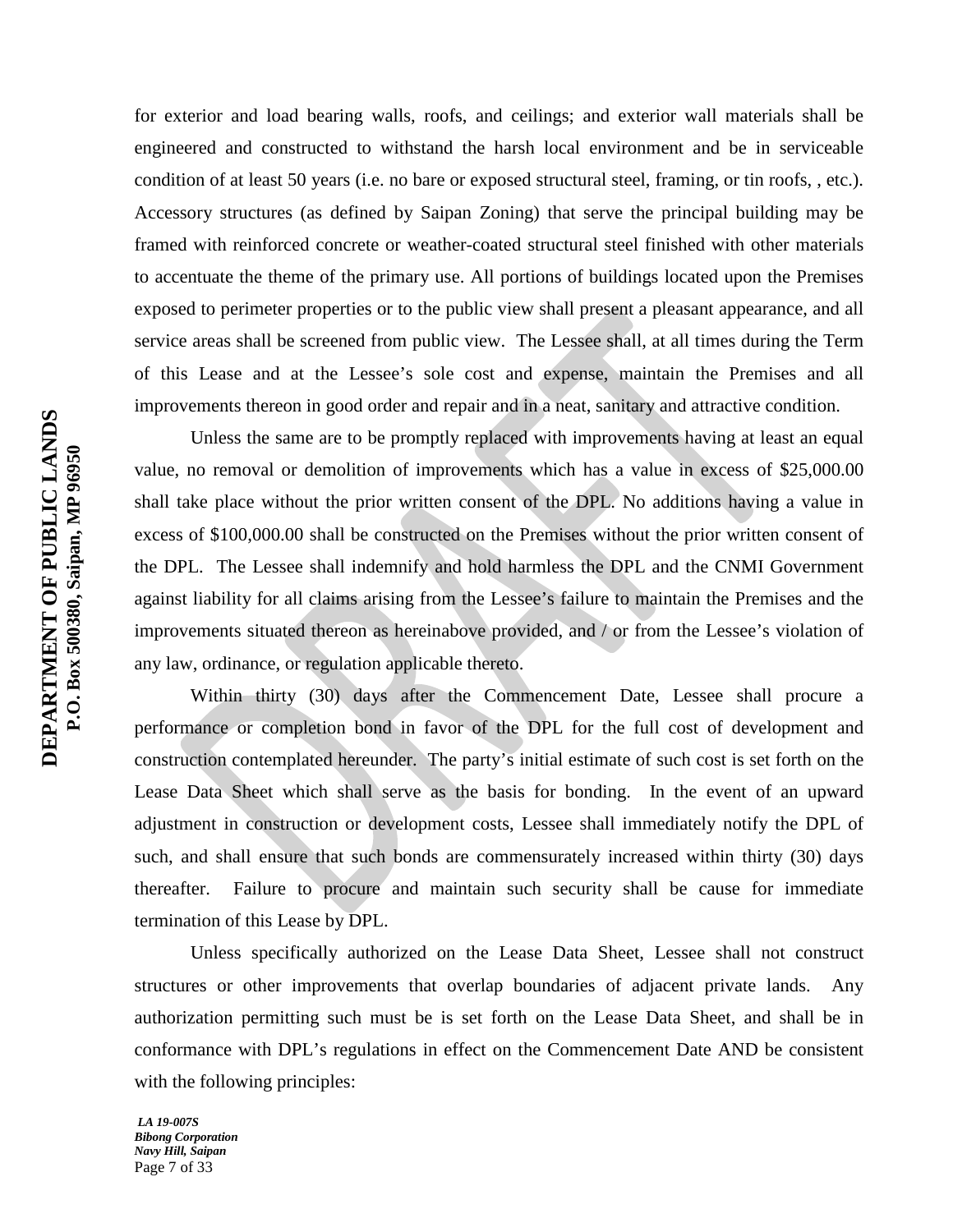for exterior and load bearing walls, roofs, and ceilings; and exterior wall materials shall be engineered and constructed to withstand the harsh local environment and be in serviceable condition of at least 50 years (i.e. no bare or exposed structural steel, framing, or tin roofs, , etc.). Accessory structures (as defined by Saipan Zoning) that serve the principal building may be framed with reinforced concrete or weather-coated structural steel finished with other materials to accentuate the theme of the primary use. All portions of buildings located upon the Premises exposed to perimeter properties or to the public view shall present a pleasant appearance, and all service areas shall be screened from public view. The Lessee shall, at all times during the Term of this Lease and at the Lessee's sole cost and expense, maintain the Premises and all improvements thereon in good order and repair and in a neat, sanitary and attractive condition.

Unless the same are to be promptly replaced with improvements having at least an equal value, no removal or demolition of improvements which has a value in excess of \$25,000.00 shall take place without the prior written consent of the DPL. No additions having a value in excess of \$100,000.00 shall be constructed on the Premises without the prior written consent of the DPL. The Lessee shall indemnify and hold harmless the DPL and the CNMI Government against liability for all claims arising from the Lessee's failure to maintain the Premises and the improvements situated thereon as hereinabove provided, and / or from the Lessee's violation of any law, ordinance, or regulation applicable thereto.

Within thirty (30) days after the Commencement Date, Lessee shall procure a performance or completion bond in favor of the DPL for the full cost of development and construction contemplated hereunder. The party's initial estimate of such cost is set forth on the Lease Data Sheet which shall serve as the basis for bonding. In the event of an upward adjustment in construction or development costs, Lessee shall immediately notify the DPL of such, and shall ensure that such bonds are commensurately increased within thirty (30) days thereafter. Failure to procure and maintain such security shall be cause for immediate termination of this Lease by DPL.

Unless specifically authorized on the Lease Data Sheet, Lessee shall not construct structures or other improvements that overlap boundaries of adjacent private lands. Any authorization permitting such must be is set forth on the Lease Data Sheet, and shall be in conformance with DPL's regulations in effect on the Commencement Date AND be consistent with the following principles: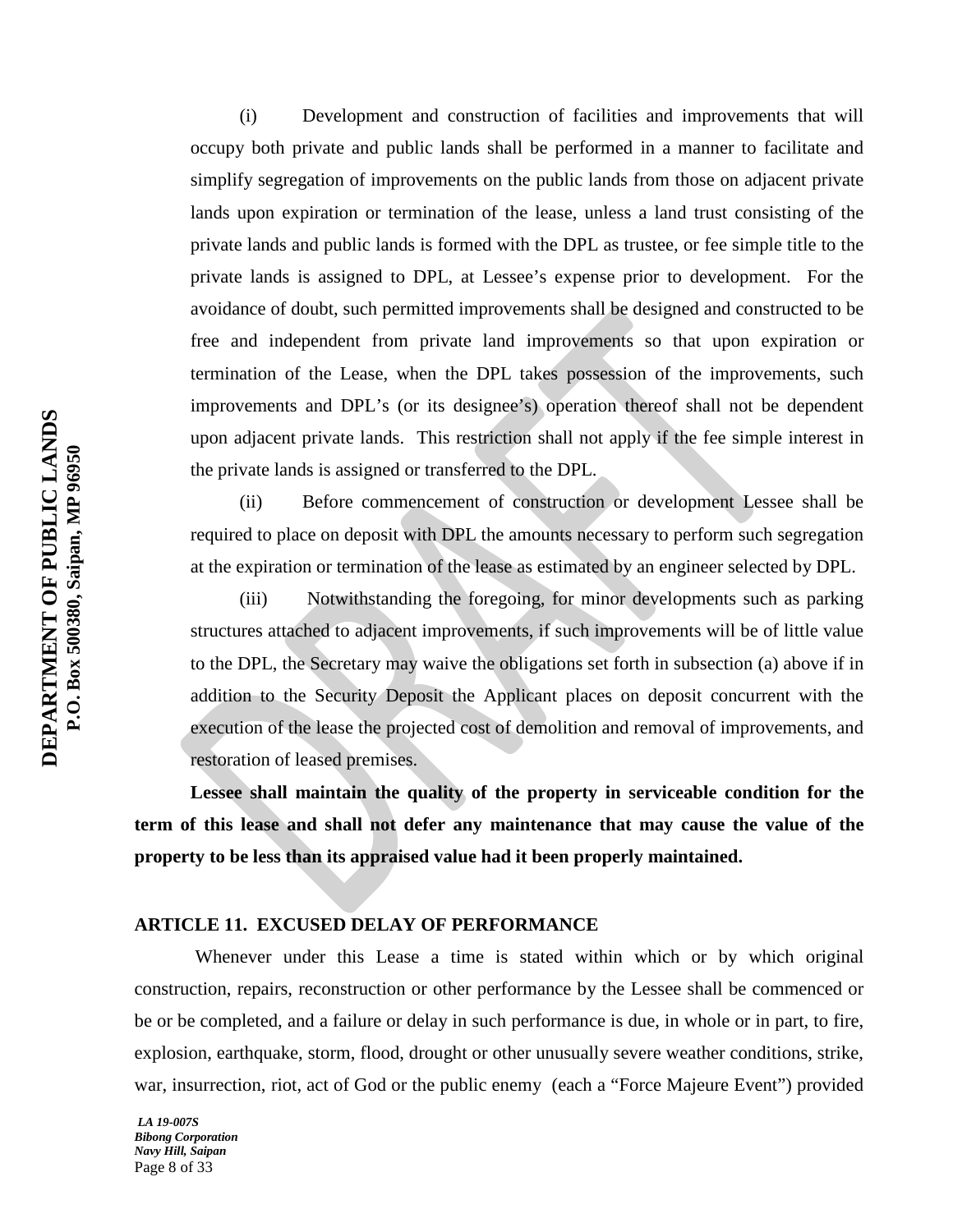(i) Development and construction of facilities and improvements that will occupy both private and public lands shall be performed in a manner to facilitate and simplify segregation of improvements on the public lands from those on adjacent private lands upon expiration or termination of the lease, unless a land trust consisting of the private lands and public lands is formed with the DPL as trustee, or fee simple title to the private lands is assigned to DPL, at Lessee's expense prior to development. For the avoidance of doubt, such permitted improvements shall be designed and constructed to be free and independent from private land improvements so that upon expiration or termination of the Lease, when the DPL takes possession of the improvements, such improvements and DPL's (or its designee's) operation thereof shall not be dependent upon adjacent private lands. This restriction shall not apply if the fee simple interest in the private lands is assigned or transferred to the DPL.

(ii) Before commencement of construction or development Lessee shall be required to place on deposit with DPL the amounts necessary to perform such segregation at the expiration or termination of the lease as estimated by an engineer selected by DPL.

(iii) Notwithstanding the foregoing, for minor developments such as parking structures attached to adjacent improvements, if such improvements will be of little value to the DPL, the Secretary may waive the obligations set forth in subsection (a) above if in addition to the Security Deposit the Applicant places on deposit concurrent with the execution of the lease the projected cost of demolition and removal of improvements, and restoration of leased premises.

**Lessee shall maintain the quality of the property in serviceable condition for the term of this lease and shall not defer any maintenance that may cause the value of the property to be less than its appraised value had it been properly maintained.**

#### **ARTICLE 11. EXCUSED DELAY OF PERFORMANCE**

Whenever under this Lease a time is stated within which or by which original construction, repairs, reconstruction or other performance by the Lessee shall be commenced or be or be completed, and a failure or delay in such performance is due, in whole or in part, to fire, explosion, earthquake, storm, flood, drought or other unusually severe weather conditions, strike, war, insurrection, riot, act of God or the public enemy (each a "Force Majeure Event") provided

*LA 19-007S Bibong Corporation Navy Hill, Saipan* Page 8 of 33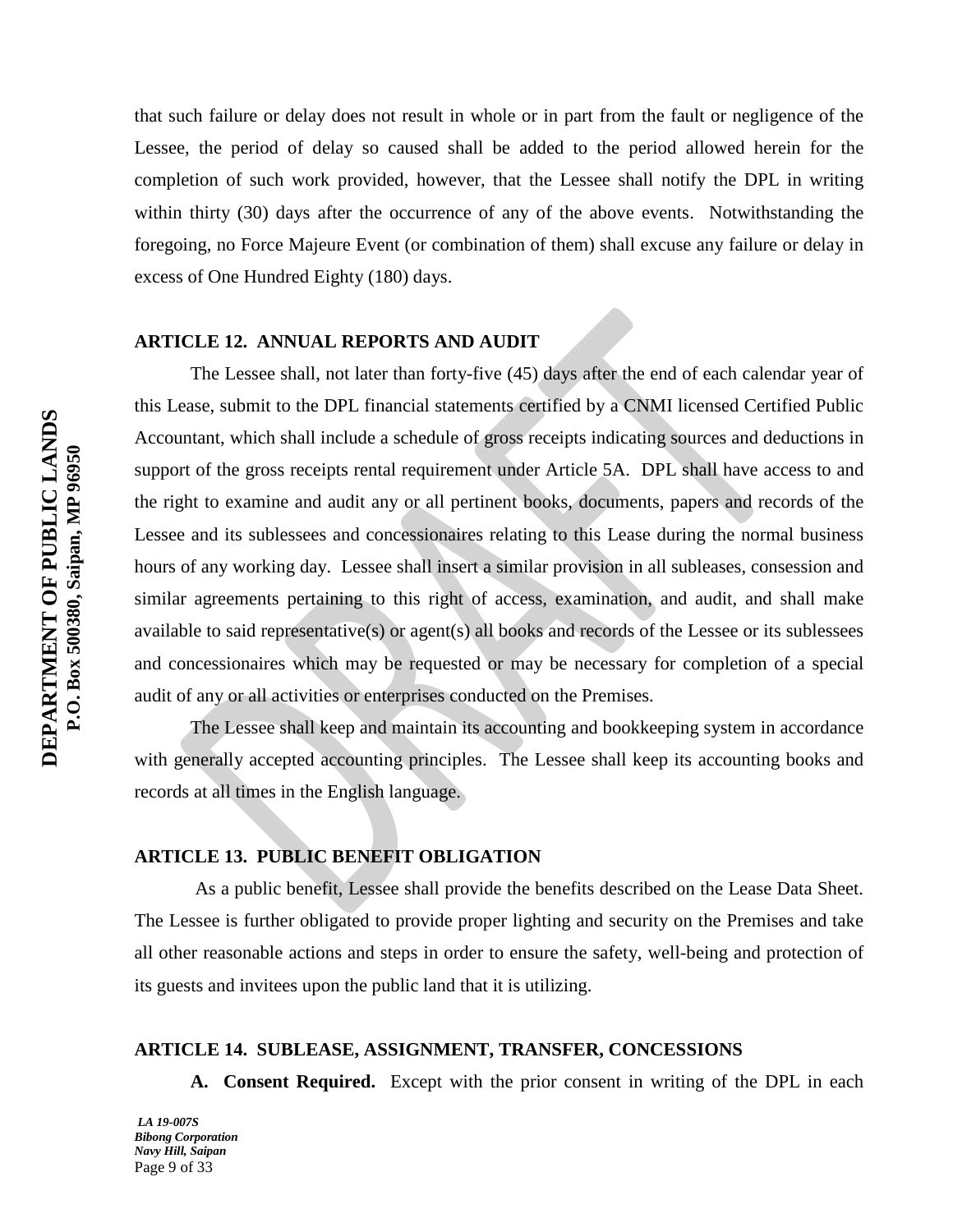that such failure or delay does not result in whole or in part from the fault or negligence of the Lessee, the period of delay so caused shall be added to the period allowed herein for the completion of such work provided, however, that the Lessee shall notify the DPL in writing within thirty (30) days after the occurrence of any of the above events. Notwithstanding the foregoing, no Force Majeure Event (or combination of them) shall excuse any failure or delay in excess of One Hundred Eighty (180) days.

# **ARTICLE 12. ANNUAL REPORTS AND AUDIT**

The Lessee shall, not later than forty-five (45) days after the end of each calendar year of this Lease, submit to the DPL financial statements certified by a CNMI licensed Certified Public Accountant, which shall include a schedule of gross receipts indicating sources and deductions in support of the gross receipts rental requirement under Article 5A. DPL shall have access to and the right to examine and audit any or all pertinent books, documents, papers and records of the Lessee and its sublessees and concessionaires relating to this Lease during the normal business hours of any working day. Lessee shall insert a similar provision in all subleases, consession and similar agreements pertaining to this right of access, examination, and audit, and shall make available to said representative(s) or agent(s) all books and records of the Lessee or its sublessees and concessionaires which may be requested or may be necessary for completion of a special audit of any or all activities or enterprises conducted on the Premises.

The Lessee shall keep and maintain its accounting and bookkeeping system in accordance with generally accepted accounting principles. The Lessee shall keep its accounting books and records at all times in the English language.

# **ARTICLE 13. PUBLIC BENEFIT OBLIGATION**

As a public benefit, Lessee shall provide the benefits described on the Lease Data Sheet. The Lessee is further obligated to provide proper lighting and security on the Premises and take all other reasonable actions and steps in order to ensure the safety, well-being and protection of its guests and invitees upon the public land that it is utilizing.

#### **ARTICLE 14. SUBLEASE, ASSIGNMENT, TRANSFER, CONCESSIONS**

**A. Consent Required.** Except with the prior consent in writing of the DPL in each

*LA 19-007S Bibong Corporation Navy Hill, Saipan* Page 9 of 33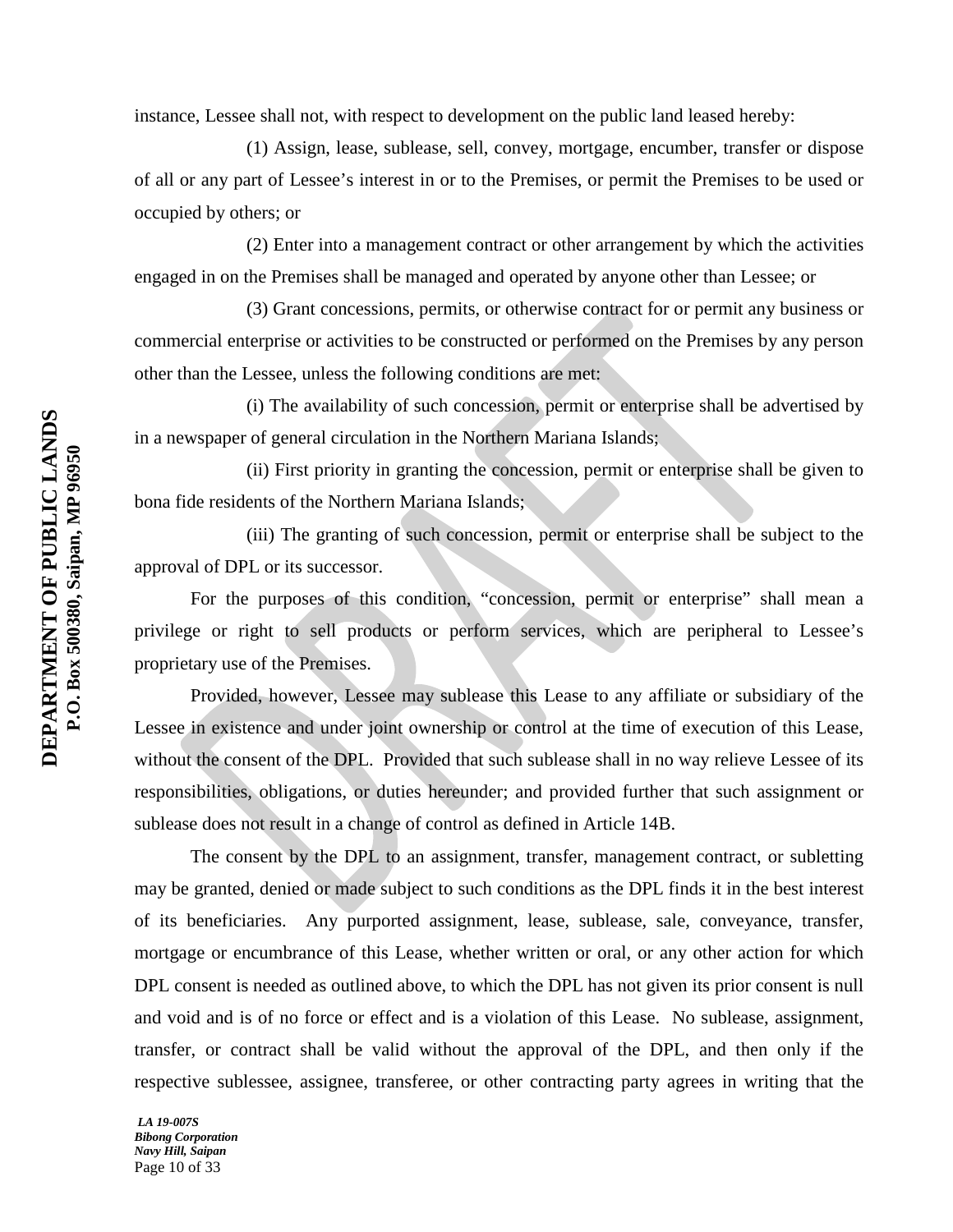instance, Lessee shall not, with respect to development on the public land leased hereby:

(1) Assign, lease, sublease, sell, convey, mortgage, encumber, transfer or dispose of all or any part of Lessee's interest in or to the Premises, or permit the Premises to be used or occupied by others; or

(2) Enter into a management contract or other arrangement by which the activities engaged in on the Premises shall be managed and operated by anyone other than Lessee; or

(3) Grant concessions, permits, or otherwise contract for or permit any business or commercial enterprise or activities to be constructed or performed on the Premises by any person other than the Lessee, unless the following conditions are met:

(i) The availability of such concession, permit or enterprise shall be advertised by in a newspaper of general circulation in the Northern Mariana Islands;

(ii) First priority in granting the concession, permit or enterprise shall be given to bona fide residents of the Northern Mariana Islands;

(iii) The granting of such concession, permit or enterprise shall be subject to the approval of DPL or its successor.

For the purposes of this condition, "concession, permit or enterprise" shall mean a privilege or right to sell products or perform services, which are peripheral to Lessee's proprietary use of the Premises.

Provided, however, Lessee may sublease this Lease to any affiliate or subsidiary of the Lessee in existence and under joint ownership or control at the time of execution of this Lease, without the consent of the DPL. Provided that such sublease shall in no way relieve Lessee of its responsibilities, obligations, or duties hereunder; and provided further that such assignment or sublease does not result in a change of control as defined in Article 14B.

The consent by the DPL to an assignment, transfer, management contract, or subletting may be granted, denied or made subject to such conditions as the DPL finds it in the best interest of its beneficiaries. Any purported assignment, lease, sublease, sale, conveyance, transfer, mortgage or encumbrance of this Lease, whether written or oral, or any other action for which DPL consent is needed as outlined above, to which the DPL has not given its prior consent is null and void and is of no force or effect and is a violation of this Lease. No sublease, assignment, transfer, or contract shall be valid without the approval of the DPL, and then only if the respective sublessee, assignee, transferee, or other contracting party agrees in writing that the

*LA 19-007S Bibong Corporation Navy Hill, Saipan* Page 10 of 33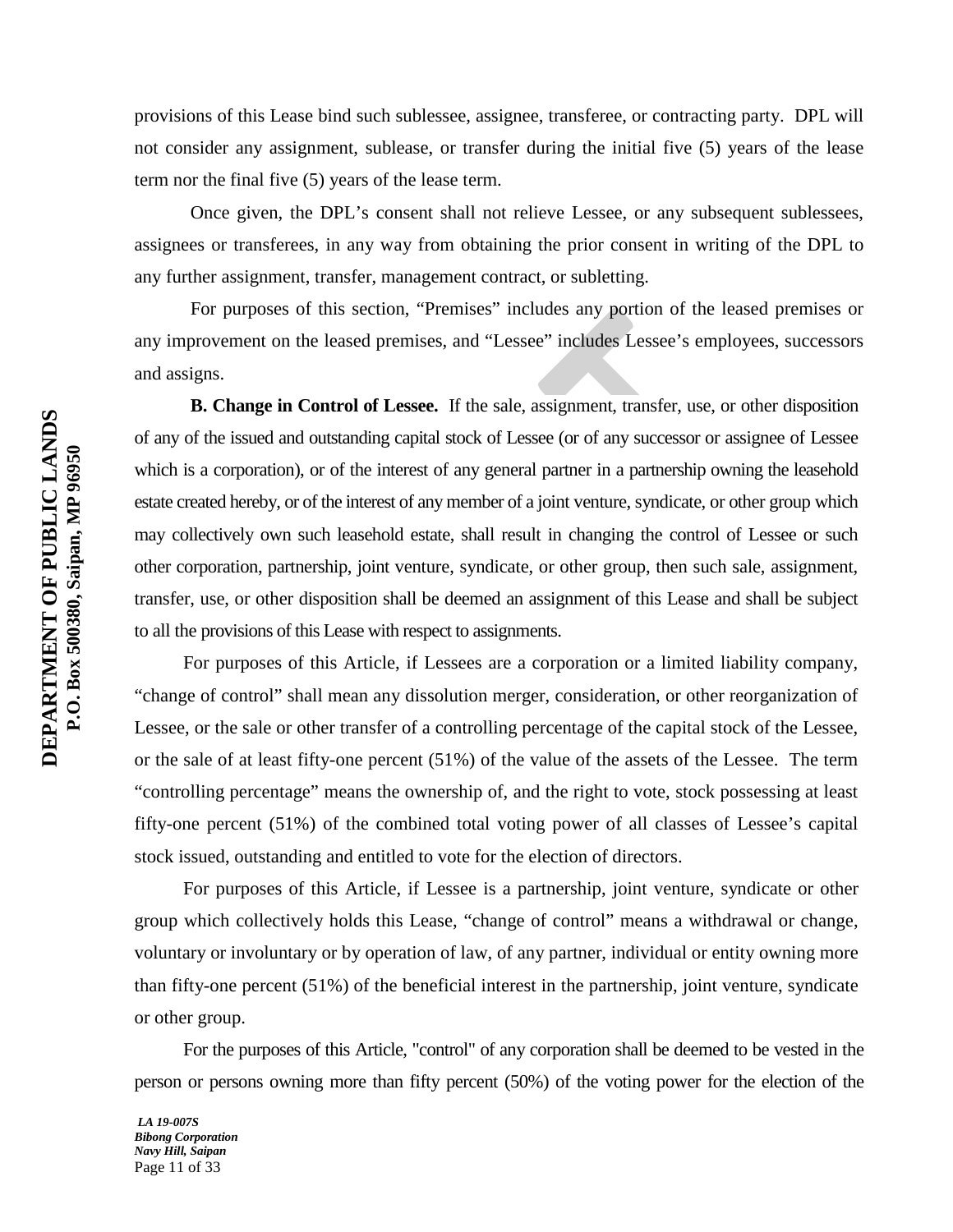provisions of this Lease bind such sublessee, assignee, transferee, or contracting party. DPL will not consider any assignment, sublease, or transfer during the initial five (5) years of the lease term nor the final five (5) years of the lease term.

Once given, the DPL's consent shall not relieve Lessee, or any subsequent sublessees, assignees or transferees, in any way from obtaining the prior consent in writing of the DPL to any further assignment, transfer, management contract, or subletting.

For purposes of this section, "Premises" includes any portion of the leased premises or any improvement on the leased premises, and "Lessee" includes Lessee's employees, successors and assigns.

**B. Change in Control of Lessee.** If the sale, assignment, transfer, use, or other disposition of any of the issued and outstanding capital stock of Lessee (or of any successor or assignee of Lessee which is a corporation), or of the interest of any general partner in a partnership owning the leasehold estate created hereby, or of the interest of any member of a joint venture, syndicate, or other group which may collectively own such leasehold estate, shall result in changing the control of Lessee or such other corporation, partnership, joint venture, syndicate, or other group, then such sale, assignment, transfer, use, or other disposition shall be deemed an assignment of this Lease and shall be subject to all the provisions of this Lease with respect to assignments.

For purposes of this Article, if Lessees are a corporation or a limited liability company, "change of control" shall mean any dissolution merger, consideration, or other reorganization of Lessee, or the sale or other transfer of a controlling percentage of the capital stock of the Lessee, or the sale of at least fifty-one percent (51%) of the value of the assets of the Lessee. The term "controlling percentage" means the ownership of, and the right to vote, stock possessing at least fifty-one percent (51%) of the combined total voting power of all classes of Lessee's capital stock issued, outstanding and entitled to vote for the election of directors.

For purposes of this Article, if Lessee is a partnership, joint venture, syndicate or other group which collectively holds this Lease, "change of control" means a withdrawal or change, voluntary or involuntary or by operation of law, of any partner, individual or entity owning more than fifty-one percent (51%) of the beneficial interest in the partnership, joint venture, syndicate or other group.

For the purposes of this Article, "control" of any corporation shall be deemed to be vested in the person or persons owning more than fifty percent (50%) of the voting power for the election of the

*LA 19-007S Bibong Corporation Navy Hill, Saipan* Page 11 of 33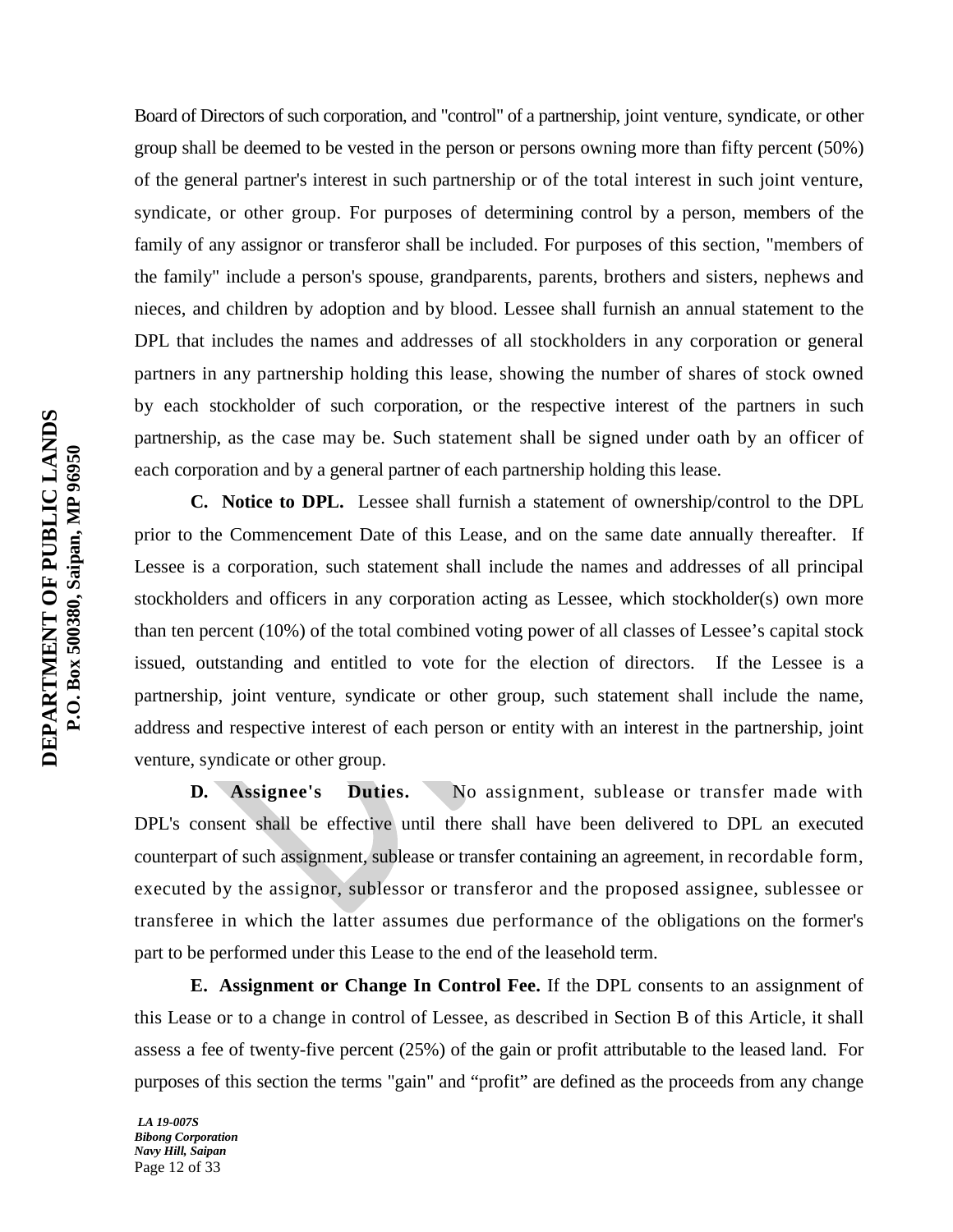Board of Directors of such corporation, and "control" of a partnership, joint venture, syndicate, or other group shall be deemed to be vested in the person or persons owning more than fifty percent (50%) of the general partner's interest in such partnership or of the total interest in such joint venture, syndicate, or other group. For purposes of determining control by a person, members of the family of any assignor or transferor shall be included. For purposes of this section, "members of the family" include a person's spouse, grandparents, parents, brothers and sisters, nephews and nieces, and children by adoption and by blood. Lessee shall furnish an annual statement to the DPL that includes the names and addresses of all stockholders in any corporation or general partners in any partnership holding this lease, showing the number of shares of stock owned by each stockholder of such corporation, or the respective interest of the partners in such partnership, as the case may be. Such statement shall be signed under oath by an officer of each corporation and by a general partner of each partnership holding this lease.

**C. Notice to DPL.** Lessee shall furnish a statement of ownership/control to the DPL prior to the Commencement Date of this Lease, and on the same date annually thereafter. If Lessee is a corporation, such statement shall include the names and addresses of all principal stockholders and officers in any corporation acting as Lessee, which stockholder(s) own more than ten percent (10%) of the total combined voting power of all classes of Lessee's capital stock issued, outstanding and entitled to vote for the election of directors. If the Lessee is a partnership, joint venture, syndicate or other group, such statement shall include the name, address and respective interest of each person or entity with an interest in the partnership, joint venture, syndicate or other group.

D. Assignee's Duties. No assignment, sublease or transfer made with DPL's consent shall be effective until there shall have been delivered to DPL an executed counterpart of such assignment, sublease or transfer containing an agreement, in recordable form, executed by the assignor, sublessor or transferor and the proposed assignee, sublessee or transferee in which the latter assumes due performance of the obligations on the former's part to be performed under this Lease to the end of the leasehold term.

**E. Assignment or Change In Control Fee.** If the DPL consents to an assignment of this Lease or to a change in control of Lessee, as described in Section B of this Article, it shall assess a fee of twenty-five percent (25%) of the gain or profit attributable to the leased land. For purposes of this section the terms "gain" and "profit" are defined as the proceeds from any change

*LA 19-007S Bibong Corporation Navy Hill, Saipan* Page 12 of 33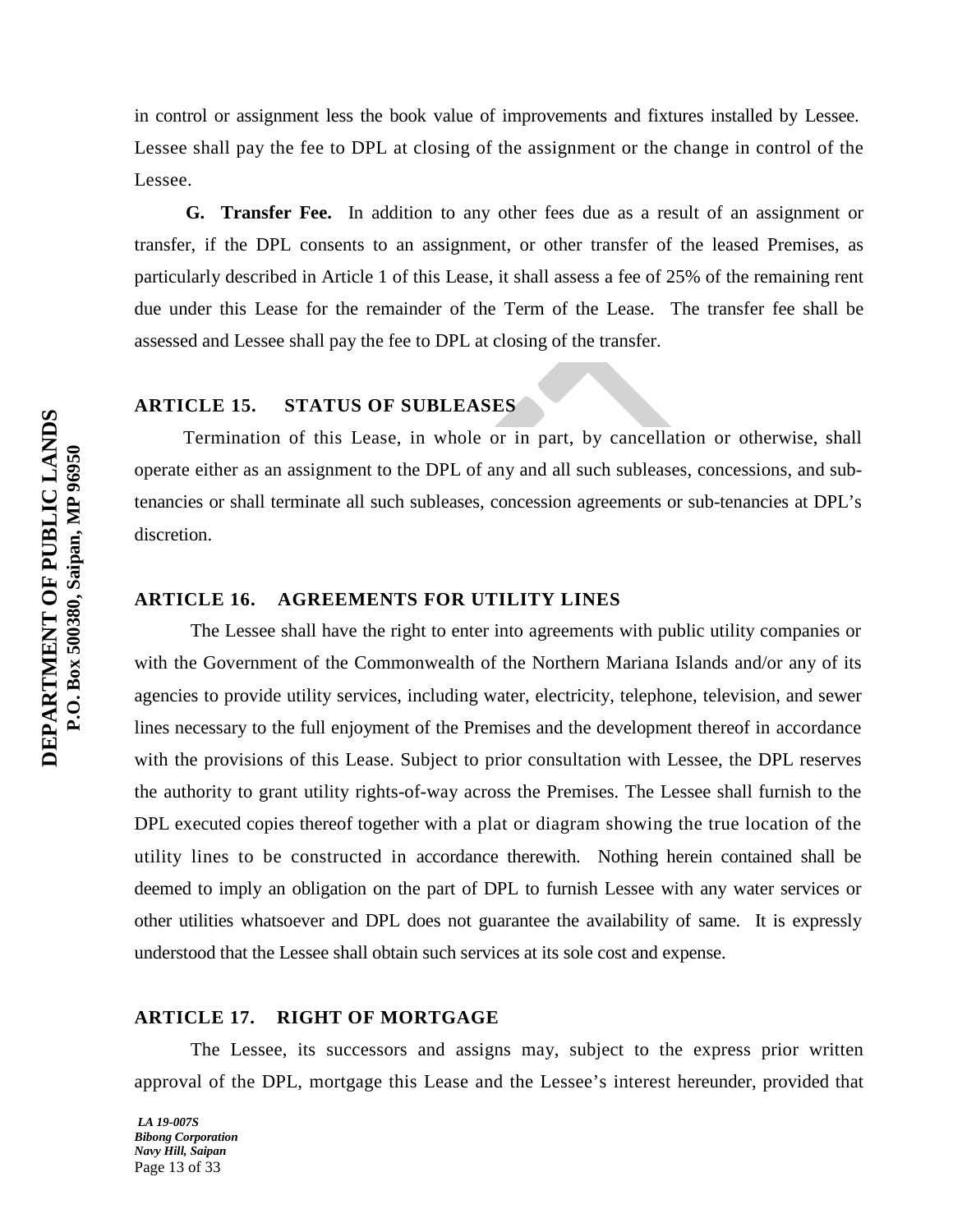in control or assignment less the book value of improvements and fixtures installed by Lessee. Lessee shall pay the fee to DPL at closing of the assignment or the change in control of the Lessee.

 **G. Transfer Fee.** In addition to any other fees due as a result of an assignment or transfer, if the DPL consents to an assignment, or other transfer of the leased Premises, as particularly described in Article 1 of this Lease, it shall assess a fee of 25% of the remaining rent due under this Lease for the remainder of the Term of the Lease. The transfer fee shall be assessed and Lessee shall pay the fee to DPL at closing of the transfer.

# **ARTICLE 15. STATUS OF SUBLEASES**

Termination of this Lease, in whole or in part, by cancellation or otherwise, shall operate either as an assignment to the DPL of any and all such subleases, concessions, and subtenancies or shall terminate all such subleases, concession agreements or sub-tenancies at DPL's discretion.

# **ARTICLE 16. AGREEMENTS FOR UTILITY LINES**

The Lessee shall have the right to enter into agreements with public utility companies or with the Government of the Commonwealth of the Northern Mariana Islands and/or any of its agencies to provide utility services, including water, electricity, telephone, television, and sewer lines necessary to the full enjoyment of the Premises and the development thereof in accordance with the provisions of this Lease. Subject to prior consultation with Lessee, the DPL reserves the authority to grant utility rights-of-way across the Premises. The Lessee shall furnish to the DPL executed copies thereof together with a plat or diagram showing the true location of the utility lines to be constructed in accordance therewith. Nothing herein contained shall be deemed to imply an obligation on the part of DPL to furnish Lessee with any water services or other utilities whatsoever and DPL does not guarantee the availability of same. It is expressly understood that the Lessee shall obtain such services at its sole cost and expense.

#### **ARTICLE 17. RIGHT OF MORTGAGE**

The Lessee, its successors and assigns may, subject to the express prior written approval of the DPL, mortgage this Lease and the Lessee's interest hereunder, provided that

*LA 19-007S Bibong Corporation Navy Hill, Saipan* Page 13 of 33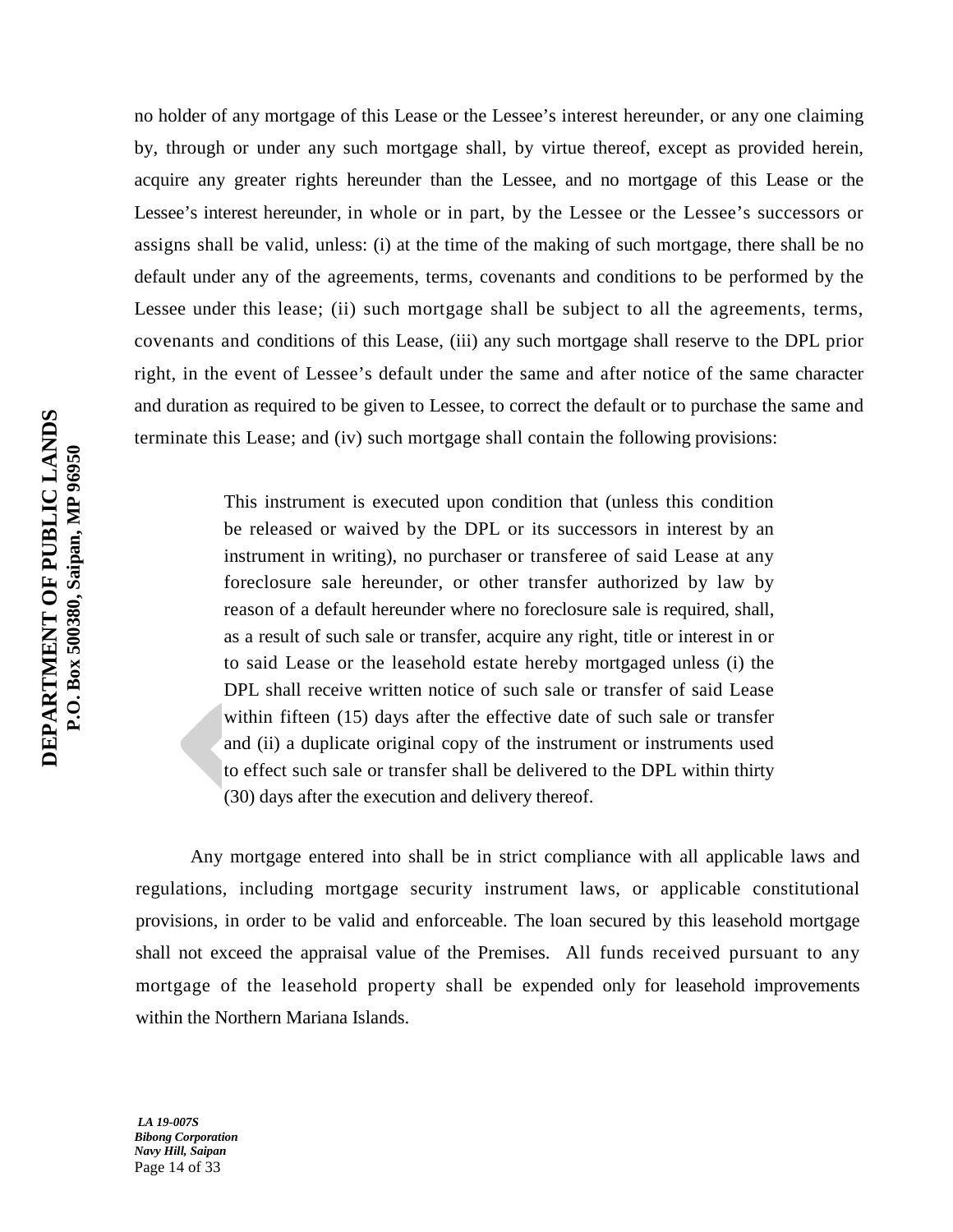no holder of any mortgage of this Lease or the Lessee's interest hereunder, or any one claiming by, through or under any such mortgage shall, by virtue thereof, except as provided herein, acquire any greater rights hereunder than the Lessee, and no mortgage of this Lease or the Lessee's interest hereunder, in whole or in part, by the Lessee or the Lessee's successors or assigns shall be valid, unless: (i) at the time of the making of such mortgage, there shall be no default under any of the agreements, terms, covenants and conditions to be performed by the Lessee under this lease; (ii) such mortgage shall be subject to all the agreements, terms, covenants and conditions of this Lease, (iii) any such mortgage shall reserve to the DPL prior right, in the event of Lessee's default under the same and after notice of the same character and duration as required to be given to Lessee, to correct the default or to purchase the same and terminate this Lease; and (iv) such mortgage shall contain the following provisions:

> This instrument is executed upon condition that (unless this condition be released or waived by the DPL or its successors in interest by an instrument in writing), no purchaser or transferee of said Lease at any foreclosure sale hereunder, or other transfer authorized by law by reason of a default hereunder where no foreclosure sale is required, shall, as a result of such sale or transfer, acquire any right, title or interest in or to said Lease or the leasehold estate hereby mortgaged unless (i) the DPL shall receive written notice of such sale or transfer of said Lease within fifteen (15) days after the effective date of such sale or transfer and (ii) a duplicate original copy of the instrument or instruments used to effect such sale or transfer shall be delivered to the DPL within thirty (30) days after the execution and delivery thereof.

Any mortgage entered into shall be in strict compliance with all applicable laws and regulations, including mortgage security instrument laws, or applicable constitutional provisions, in order to be valid and enforceable. The loan secured by this leasehold mortgage shall not exceed the appraisal value of the Premises. All funds received pursuant to any mortgage of the leasehold property shall be expended only for leasehold improvements within the Northern Mariana Islands.

*LA 19-007S Bibong Corporation Navy Hill, Saipan* Page 14 of 33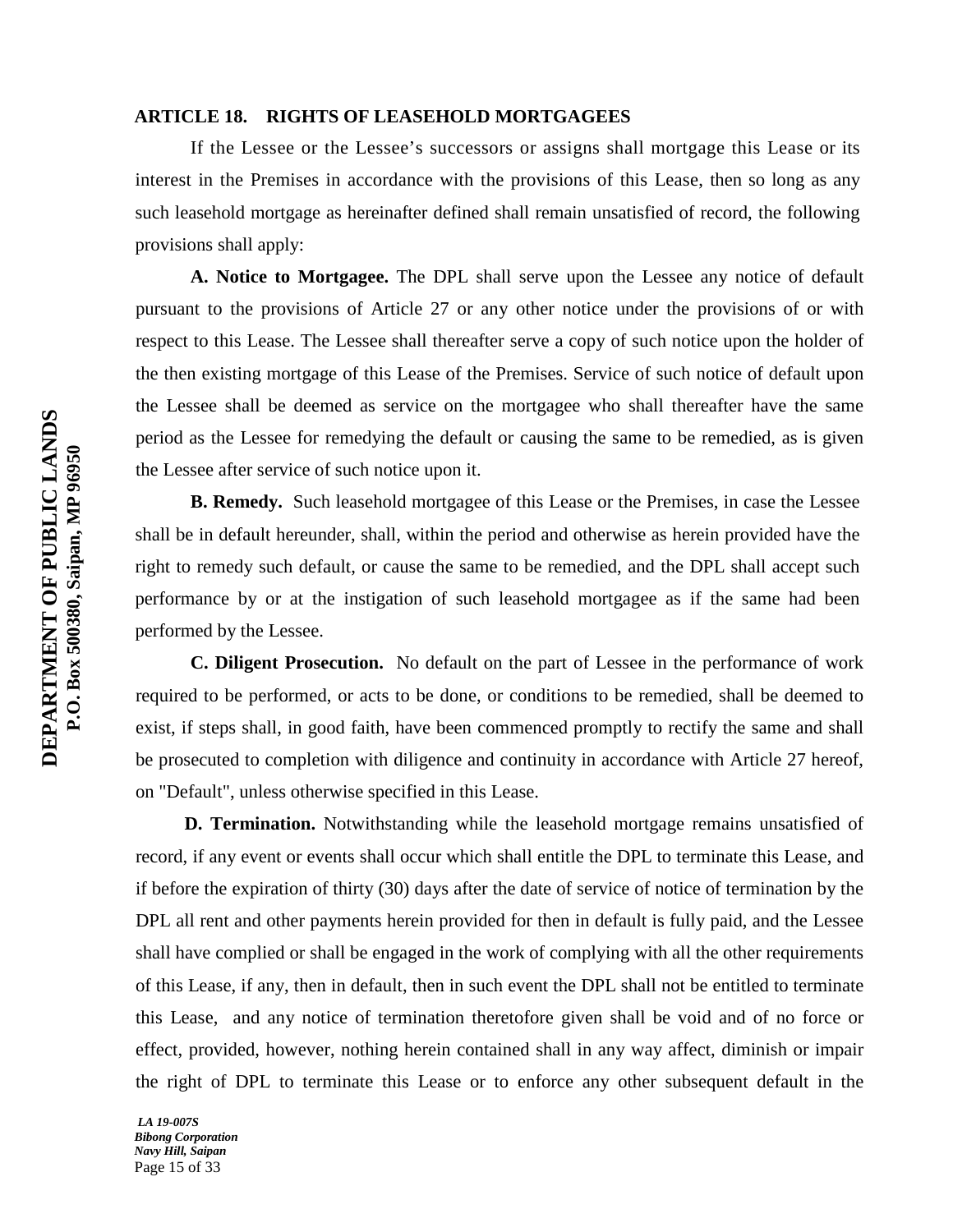#### **ARTICLE 18. RIGHTS OF LEASEHOLD MORTGAGEES**

If the Lessee or the Lessee's successors or assigns shall mortgage this Lease or its interest in the Premises in accordance with the provisions of this Lease, then so long as any such leasehold mortgage as hereinafter defined shall remain unsatisfied of record, the following provisions shall apply:

**A. Notice to Mortgagee.** The DPL shall serve upon the Lessee any notice of default pursuant to the provisions of Article 27 or any other notice under the provisions of or with respect to this Lease. The Lessee shall thereafter serve a copy of such notice upon the holder of the then existing mortgage of this Lease of the Premises. Service of such notice of default upon the Lessee shall be deemed as service on the mortgagee who shall thereafter have the same period as the Lessee for remedying the default or causing the same to be remedied, as is given the Lessee after service of such notice upon it.

**B. Remedy.** Such leasehold mortgagee of this Lease or the Premises, in case the Lessee shall be in default hereunder, shall, within the period and otherwise as herein provided have the right to remedy such default, or cause the same to be remedied, and the DPL shall accept such performance by or at the instigation of such leasehold mortgagee as if the same had been performed by the Lessee.

**C. Diligent Prosecution.** No default on the part of Lessee in the performance of work required to be performed, or acts to be done, or conditions to be remedied, shall be deemed to exist, if steps shall, in good faith, have been commenced promptly to rectify the same and shall be prosecuted to completion with diligence and continuity in accordance with Article 27 hereof, on "Default", unless otherwise specified in this Lease.

**D. Termination.** Notwithstanding while the leasehold mortgage remains unsatisfied of record, if any event or events shall occur which shall entitle the DPL to terminate this Lease, and if before the expiration of thirty (30) days after the date of service of notice of termination by the DPL all rent and other payments herein provided for then in default is fully paid, and the Lessee shall have complied or shall be engaged in the work of complying with all the other requirements of this Lease, if any, then in default, then in such event the DPL shall not be entitled to terminate this Lease, and any notice of termination theretofore given shall be void and of no force or effect, provided, however, nothing herein contained shall in any way affect, diminish or impair the right of DPL to terminate this Lease or to enforce any other subsequent default in the

*LA 19-007S Bibong Corporation Navy Hill, Saipan* Page 15 of 33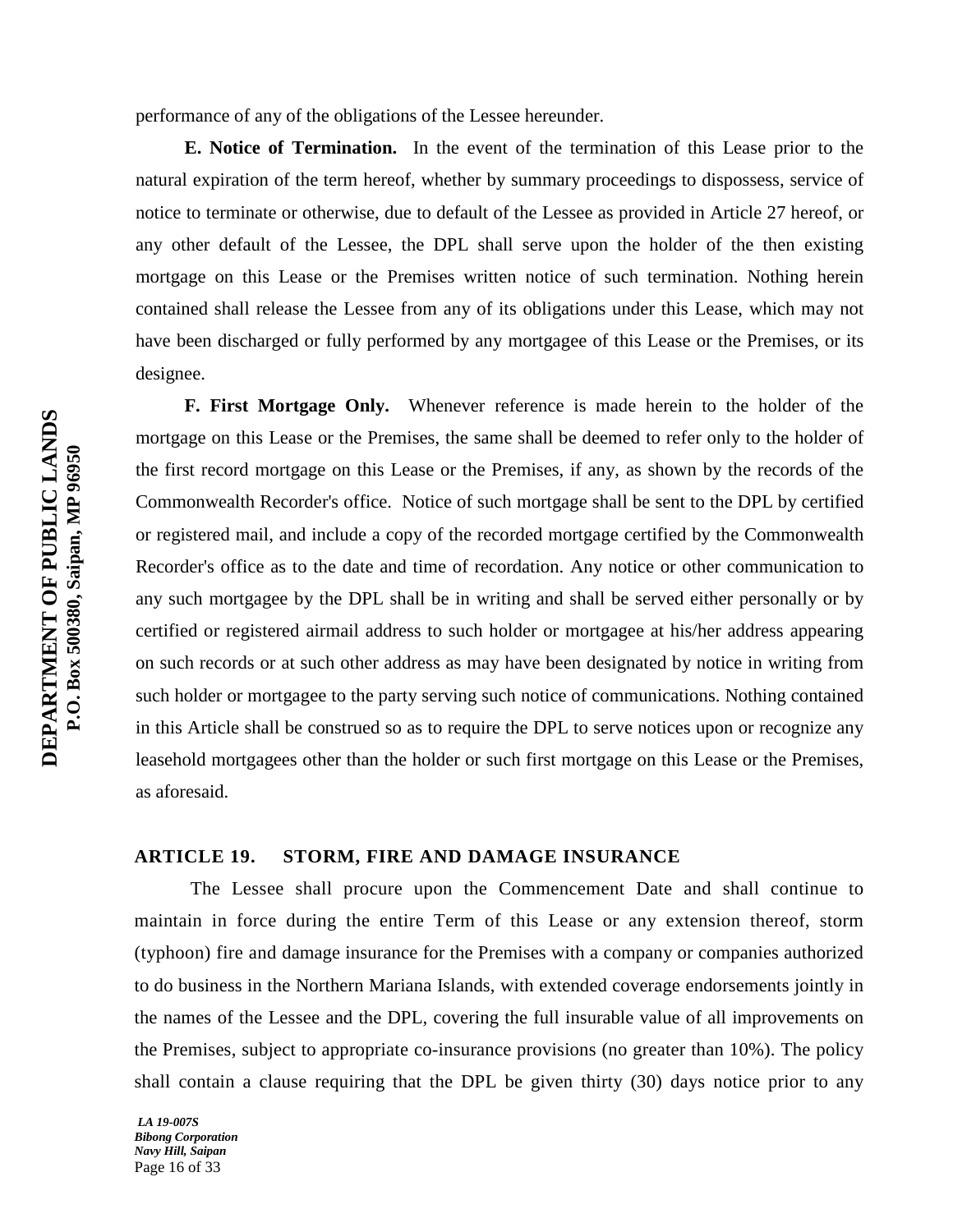performance of any of the obligations of the Lessee hereunder.

**E. Notice of Termination.** In the event of the termination of this Lease prior to the natural expiration of the term hereof, whether by summary proceedings to dispossess, service of notice to terminate or otherwise, due to default of the Lessee as provided in Article 27 hereof, or any other default of the Lessee, the DPL shall serve upon the holder of the then existing mortgage on this Lease or the Premises written notice of such termination. Nothing herein contained shall release the Lessee from any of its obligations under this Lease, which may not have been discharged or fully performed by any mortgagee of this Lease or the Premises, or its designee.

**F. First Mortgage Only.** Whenever reference is made herein to the holder of the mortgage on this Lease or the Premises, the same shall be deemed to refer only to the holder of the first record mortgage on this Lease or the Premises, if any, as shown by the records of the Commonwealth Recorder's office. Notice of such mortgage shall be sent to the DPL by certified or registered mail, and include a copy of the recorded mortgage certified by the Commonwealth Recorder's office as to the date and time of recordation. Any notice or other communication to any such mortgagee by the DPL shall be in writing and shall be served either personally or by certified or registered airmail address to such holder or mortgagee at his/her address appearing on such records or at such other address as may have been designated by notice in writing from such holder or mortgagee to the party serving such notice of communications. Nothing contained in this Article shall be construed so as to require the DPL to serve notices upon or recognize any leasehold mortgagees other than the holder or such first mortgage on this Lease or the Premises, as aforesaid.

## **ARTICLE 19. STORM, FIRE AND DAMAGE INSURANCE**

The Lessee shall procure upon the Commencement Date and shall continue to maintain in force during the entire Term of this Lease or any extension thereof, storm (typhoon) fire and damage insurance for the Premises with a company or companies authorized to do business in the Northern Mariana Islands, with extended coverage endorsements jointly in the names of the Lessee and the DPL, covering the full insurable value of all improvements on the Premises, subject to appropriate co-insurance provisions (no greater than 10%). The policy shall contain a clause requiring that the DPL be given thirty (30) days notice prior to any

*LA 19-007S Bibong Corporation Navy Hill, Saipan* Page 16 of 33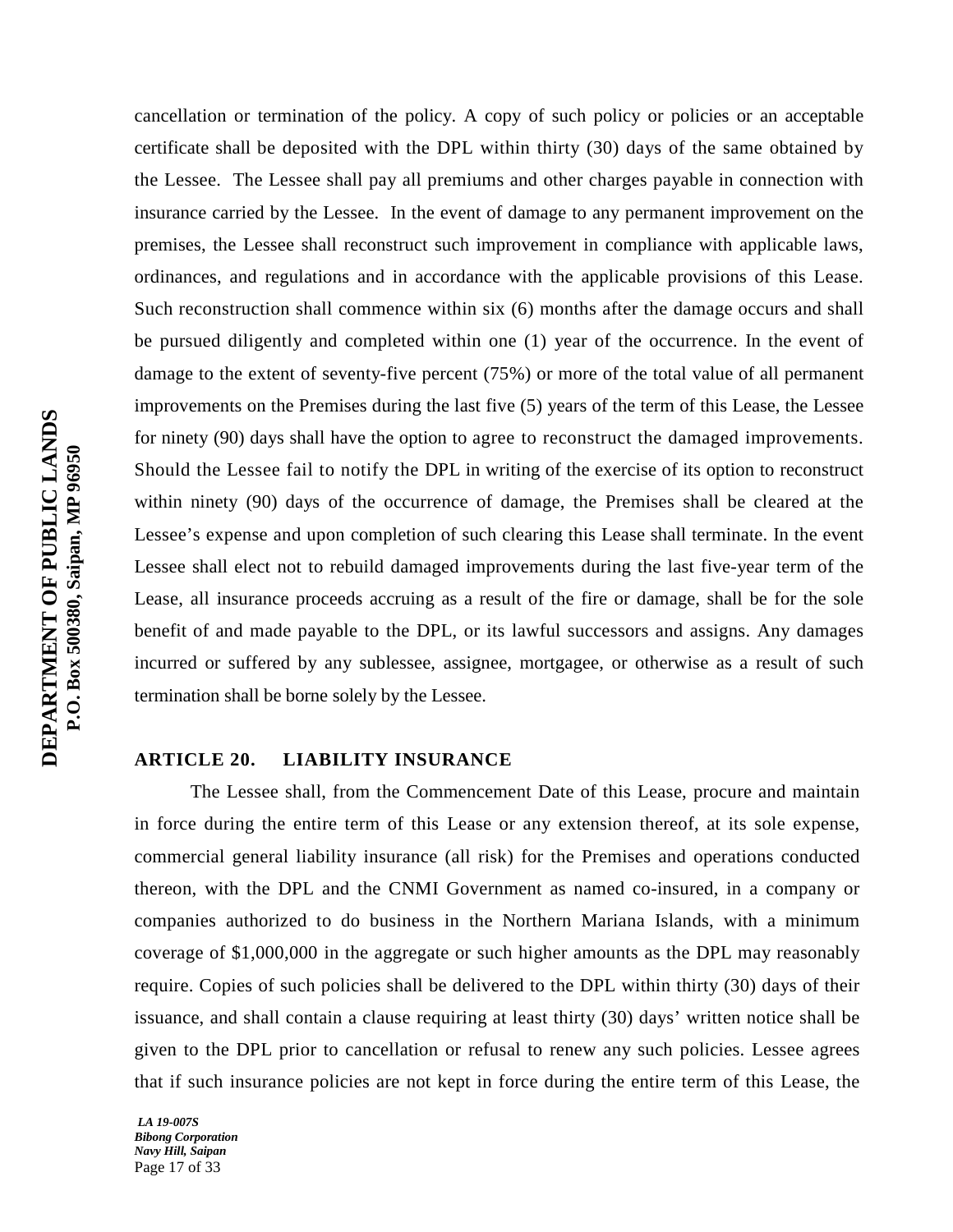cancellation or termination of the policy. A copy of such policy or policies or an acceptable certificate shall be deposited with the DPL within thirty (30) days of the same obtained by the Lessee. The Lessee shall pay all premiums and other charges payable in connection with insurance carried by the Lessee. In the event of damage to any permanent improvement on the premises, the Lessee shall reconstruct such improvement in compliance with applicable laws, ordinances, and regulations and in accordance with the applicable provisions of this Lease. Such reconstruction shall commence within six (6) months after the damage occurs and shall be pursued diligently and completed within one (1) year of the occurrence. In the event of damage to the extent of seventy-five percent (75%) or more of the total value of all permanent improvements on the Premises during the last five (5) years of the term of this Lease, the Lessee for ninety (90) days shall have the option to agree to reconstruct the damaged improvements. Should the Lessee fail to notify the DPL in writing of the exercise of its option to reconstruct within ninety (90) days of the occurrence of damage, the Premises shall be cleared at the Lessee's expense and upon completion of such clearing this Lease shall terminate. In the event Lessee shall elect not to rebuild damaged improvements during the last five-year term of the Lease, all insurance proceeds accruing as a result of the fire or damage, shall be for the sole benefit of and made payable to the DPL, or its lawful successors and assigns. Any damages incurred or suffered by any sublessee, assignee, mortgagee, or otherwise as a result of such termination shall be borne solely by the Lessee.

#### **ARTICLE 20. LIABILITY INSURANCE**

The Lessee shall, from the Commencement Date of this Lease, procure and maintain in force during the entire term of this Lease or any extension thereof, at its sole expense, commercial general liability insurance (all risk) for the Premises and operations conducted thereon, with the DPL and the CNMI Government as named co-insured, in a company or companies authorized to do business in the Northern Mariana Islands, with a minimum coverage of \$1,000,000 in the aggregate or such higher amounts as the DPL may reasonably require. Copies of such policies shall be delivered to the DPL within thirty (30) days of their issuance, and shall contain a clause requiring at least thirty (30) days' written notice shall be given to the DPL prior to cancellation or refusal to renew any such policies. Lessee agrees that if such insurance policies are not kept in force during the entire term of this Lease, the

*LA 19-007S Bibong Corporation Navy Hill, Saipan* Page 17 of 33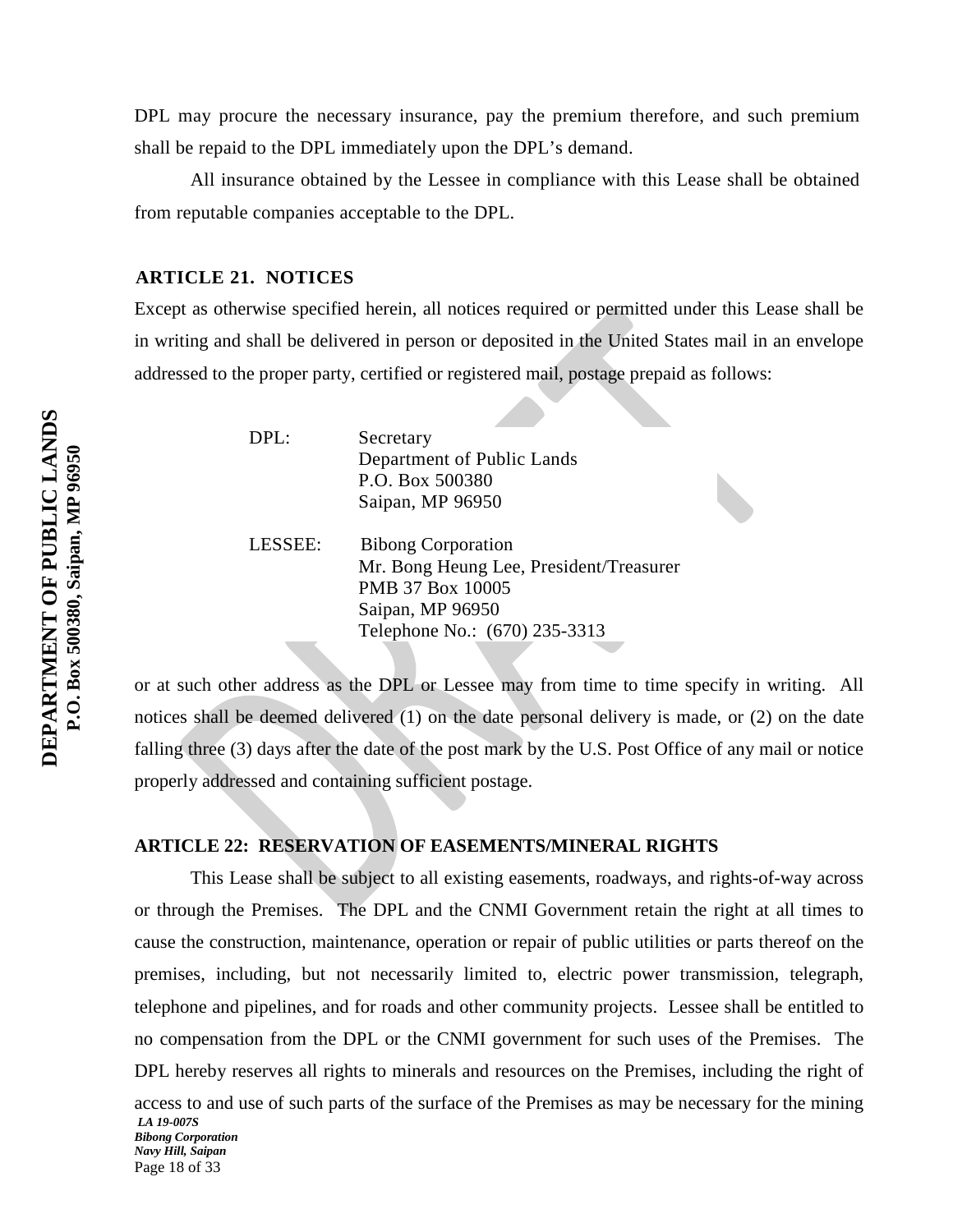DPL may procure the necessary insurance, pay the premium therefore, and such premium shall be repaid to the DPL immediately upon the DPL's demand.

All insurance obtained by the Lessee in compliance with this Lease shall be obtained from reputable companies acceptable to the DPL.

#### **ARTICLE 21. NOTICES**

Except as otherwise specified herein, all notices required or permitted under this Lease shall be in writing and shall be delivered in person or deposited in the United States mail in an envelope addressed to the proper party, certified or registered mail, postage prepaid as follows:

DPL: Secretary Department of Public Lands P.O. Box 500380 Saipan, MP 96950

LESSEE: Bibong Corporation Mr. Bong Heung Lee, President/Treasurer PMB 37 Box 10005 Saipan, MP 96950 Telephone No.: (670) 235-3313

or at such other address as the DPL or Lessee may from time to time specify in writing. All notices shall be deemed delivered (1) on the date personal delivery is made, or (2) on the date falling three (3) days after the date of the post mark by the U.S. Post Office of any mail or notice properly addressed and containing sufficient postage.

# **ARTICLE 22: RESERVATION OF EASEMENTS/MINERAL RIGHTS**

*LA 19-007S Bibong Corporation*  This Lease shall be subject to all existing easements, roadways, and rights-of-way across or through the Premises. The DPL and the CNMI Government retain the right at all times to cause the construction, maintenance, operation or repair of public utilities or parts thereof on the premises, including, but not necessarily limited to, electric power transmission, telegraph, telephone and pipelines, and for roads and other community projects. Lessee shall be entitled to no compensation from the DPL or the CNMI government for such uses of the Premises. The DPL hereby reserves all rights to minerals and resources on the Premises, including the right of access to and use of such parts of the surface of the Premises as may be necessary for the mining

*Navy Hill, Saipan* Page 18 of 33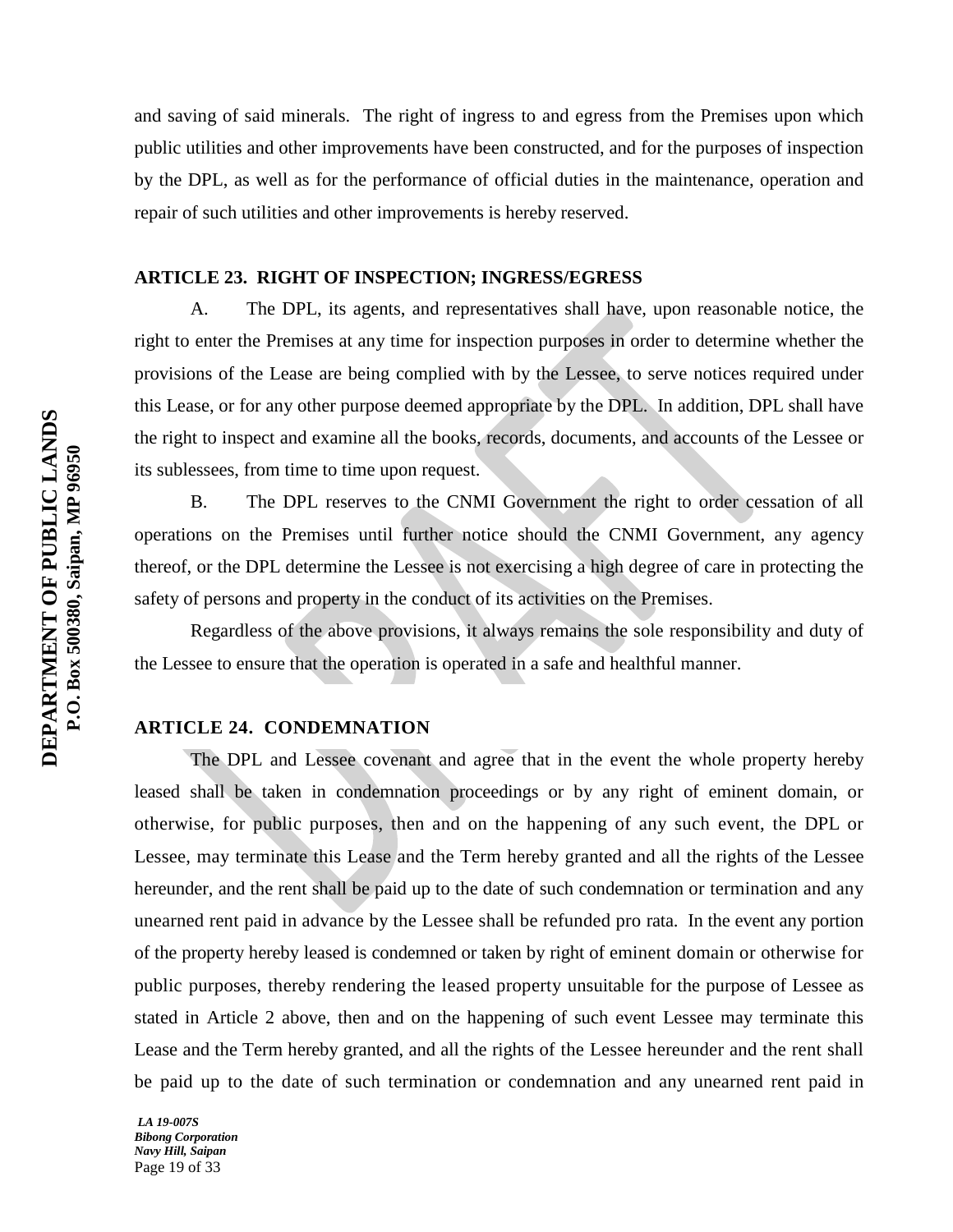and saving of said minerals. The right of ingress to and egress from the Premises upon which public utilities and other improvements have been constructed, and for the purposes of inspection by the DPL, as well as for the performance of official duties in the maintenance, operation and repair of such utilities and other improvements is hereby reserved.

## **ARTICLE 23. RIGHT OF INSPECTION; INGRESS/EGRESS**

A. The DPL, its agents, and representatives shall have, upon reasonable notice, the right to enter the Premises at any time for inspection purposes in order to determine whether the provisions of the Lease are being complied with by the Lessee, to serve notices required under this Lease, or for any other purpose deemed appropriate by the DPL. In addition, DPL shall have the right to inspect and examine all the books, records, documents, and accounts of the Lessee or its sublessees, from time to time upon request.

B. The DPL reserves to the CNMI Government the right to order cessation of all operations on the Premises until further notice should the CNMI Government, any agency thereof, or the DPL determine the Lessee is not exercising a high degree of care in protecting the safety of persons and property in the conduct of its activities on the Premises.

Regardless of the above provisions, it always remains the sole responsibility and duty of the Lessee to ensure that the operation is operated in a safe and healthful manner.

## **ARTICLE 24. CONDEMNATION**

The DPL and Lessee covenant and agree that in the event the whole property hereby leased shall be taken in condemnation proceedings or by any right of eminent domain, or otherwise, for public purposes, then and on the happening of any such event, the DPL or Lessee, may terminate this Lease and the Term hereby granted and all the rights of the Lessee hereunder, and the rent shall be paid up to the date of such condemnation or termination and any unearned rent paid in advance by the Lessee shall be refunded pro rata. In the event any portion of the property hereby leased is condemned or taken by right of eminent domain or otherwise for public purposes, thereby rendering the leased property unsuitable for the purpose of Lessee as stated in Article 2 above, then and on the happening of such event Lessee may terminate this Lease and the Term hereby granted, and all the rights of the Lessee hereunder and the rent shall be paid up to the date of such termination or condemnation and any unearned rent paid in

*LA 19-007S Bibong Corporation Navy Hill, Saipan* Page 19 of 33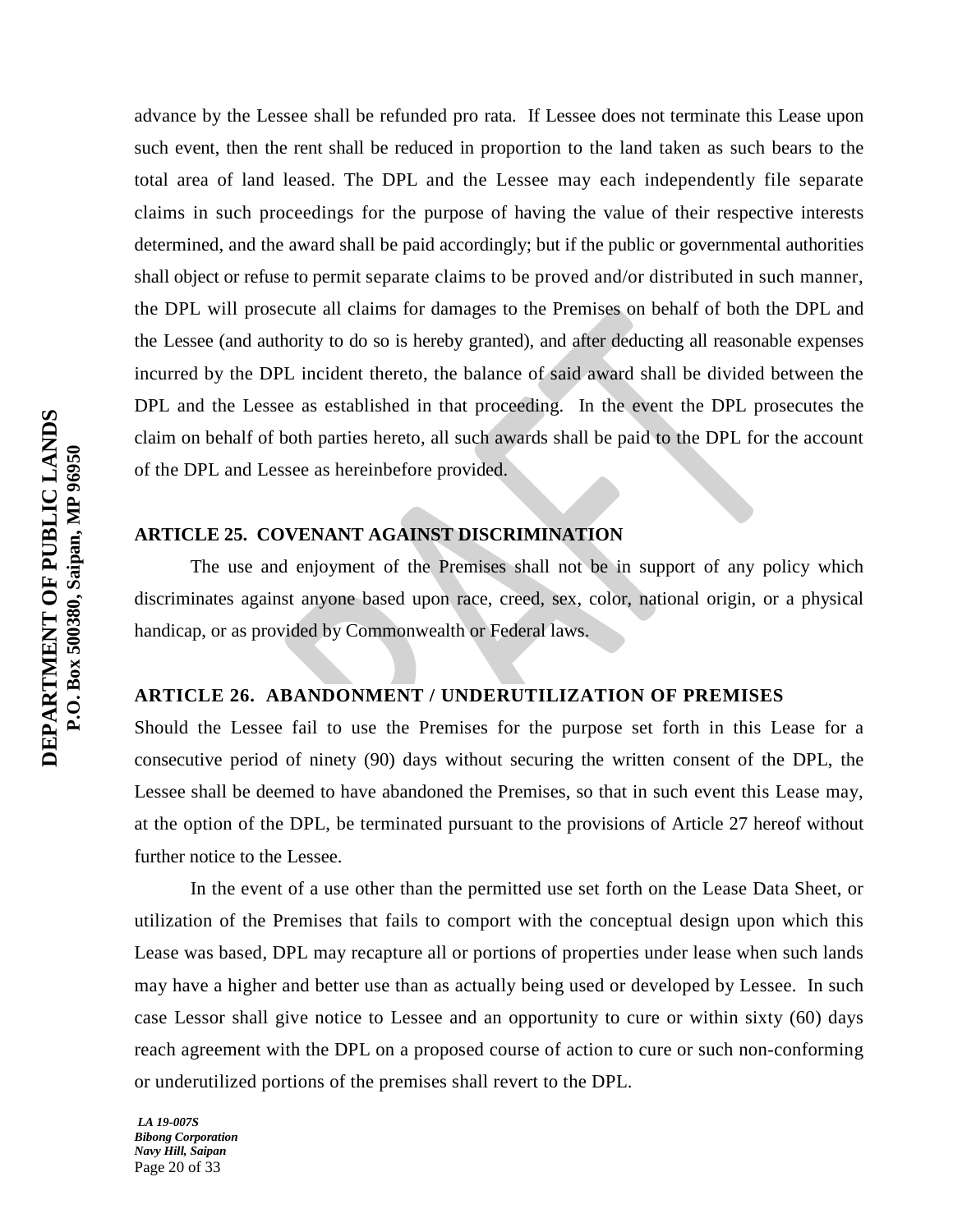advance by the Lessee shall be refunded pro rata. If Lessee does not terminate this Lease upon such event, then the rent shall be reduced in proportion to the land taken as such bears to the total area of land leased. The DPL and the Lessee may each independently file separate claims in such proceedings for the purpose of having the value of their respective interests determined, and the award shall be paid accordingly; but if the public or governmental authorities shall object or refuse to permit separate claims to be proved and/or distributed in such manner, the DPL will prosecute all claims for damages to the Premises on behalf of both the DPL and the Lessee (and authority to do so is hereby granted), and after deducting all reasonable expenses incurred by the DPL incident thereto, the balance of said award shall be divided between the DPL and the Lessee as established in that proceeding. In the event the DPL prosecutes the claim on behalf of both parties hereto, all such awards shall be paid to the DPL for the account of the DPL and Lessee as hereinbefore provided.

# **ARTICLE 25. COVENANT AGAINST DISCRIMINATION**

The use and enjoyment of the Premises shall not be in support of any policy which discriminates against anyone based upon race, creed, sex, color, national origin, or a physical handicap, or as provided by Commonwealth or Federal laws.

# **ARTICLE 26. ABANDONMENT / UNDERUTILIZATION OF PREMISES**

Should the Lessee fail to use the Premises for the purpose set forth in this Lease for a consecutive period of ninety (90) days without securing the written consent of the DPL, the Lessee shall be deemed to have abandoned the Premises, so that in such event this Lease may, at the option of the DPL, be terminated pursuant to the provisions of Article 27 hereof without further notice to the Lessee.

In the event of a use other than the permitted use set forth on the Lease Data Sheet, or utilization of the Premises that fails to comport with the conceptual design upon which this Lease was based, DPL may recapture all or portions of properties under lease when such lands may have a higher and better use than as actually being used or developed by Lessee. In such case Lessor shall give notice to Lessee and an opportunity to cure or within sixty (60) days reach agreement with the DPL on a proposed course of action to cure or such non-conforming or underutilized portions of the premises shall revert to the DPL.

*LA 19-007S Bibong Corporation Navy Hill, Saipan* Page 20 of 33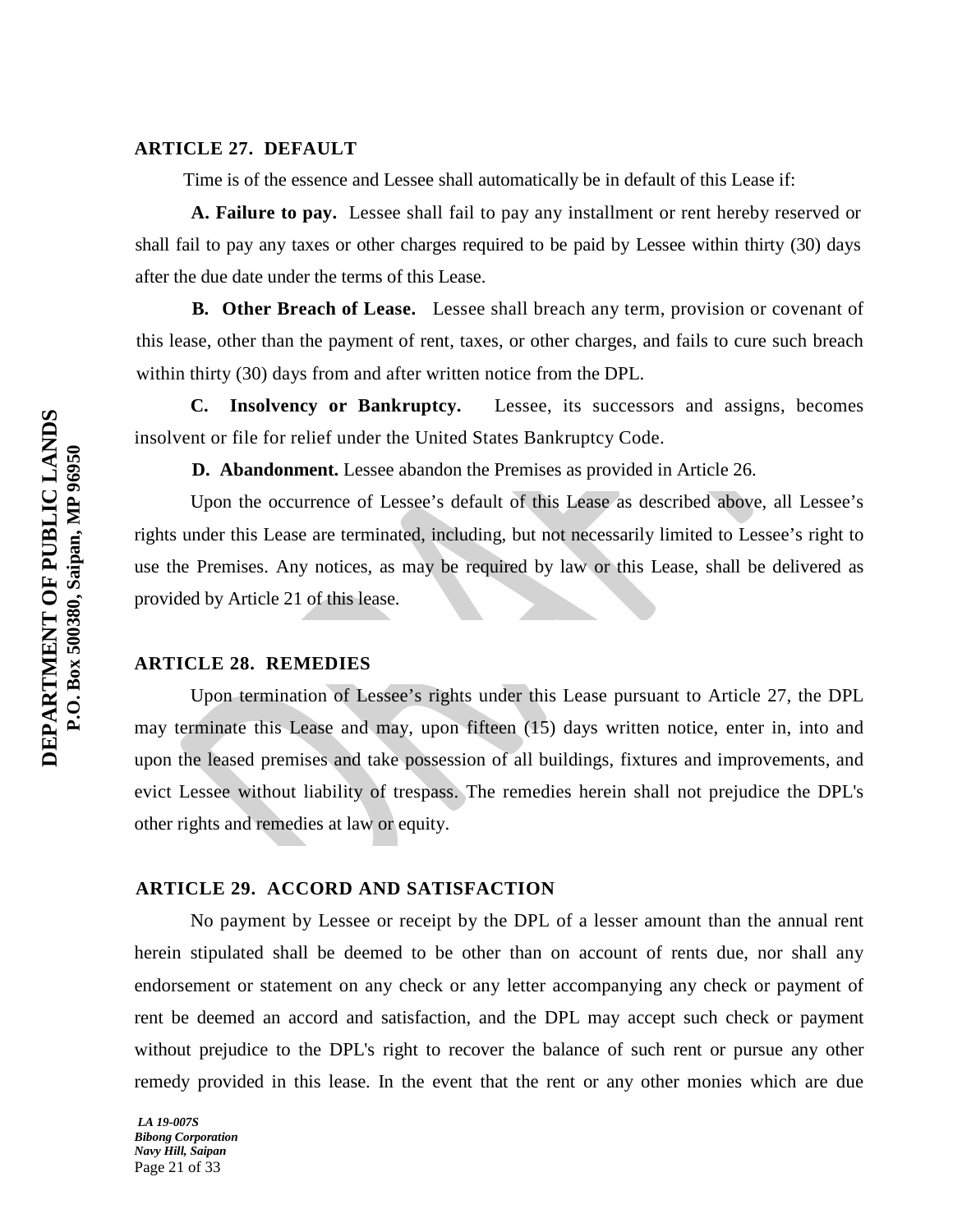### **ARTICLE 27. DEFAULT**

Time is of the essence and Lessee shall automatically be in default of this Lease if:

**A. Failure to pay.** Lessee shall fail to pay any installment or rent hereby reserved or shall fail to pay any taxes or other charges required to be paid by Lessee within thirty (30) days after the due date under the terms of this Lease.

**B. Other Breach of Lease.** Lessee shall breach any term, provision or covenant of this lease, other than the payment of rent, taxes, or other charges, and fails to cure such breach within thirty (30) days from and after written notice from the DPL.

 **C. Insolvency or Bankruptcy.** Lessee, its successors and assigns, becomes insolvent or file for relief under the United States Bankruptcy Code.

**D. Abandonment.** Lessee abandon the Premises as provided in Article 26.

Upon the occurrence of Lessee's default of this Lease as described above, all Lessee's rights under this Lease are terminated, including, but not necessarily limited to Lessee's right to use the Premises. Any notices, as may be required by law or this Lease, shall be delivered as provided by Article 21 of this lease.

## **ARTICLE 28. REMEDIES**

Upon termination of Lessee's rights under this Lease pursuant to Article 27, the DPL may terminate this Lease and may, upon fifteen (15) days written notice, enter in, into and upon the leased premises and take possession of all buildings, fixtures and improvements, and evict Lessee without liability of trespass. The remedies herein shall not prejudice the DPL's other rights and remedies at law or equity.

#### **ARTICLE 29. ACCORD AND SATISFACTION**

No payment by Lessee or receipt by the DPL of a lesser amount than the annual rent herein stipulated shall be deemed to be other than on account of rents due, nor shall any endorsement or statement on any check or any letter accompanying any check or payment of rent be deemed an accord and satisfaction, and the DPL may accept such check or payment without prejudice to the DPL's right to recover the balance of such rent or pursue any other remedy provided in this lease. In the event that the rent or any other monies which are due

*LA 19-007S Bibong Corporation Navy Hill, Saipan* Page 21 of 33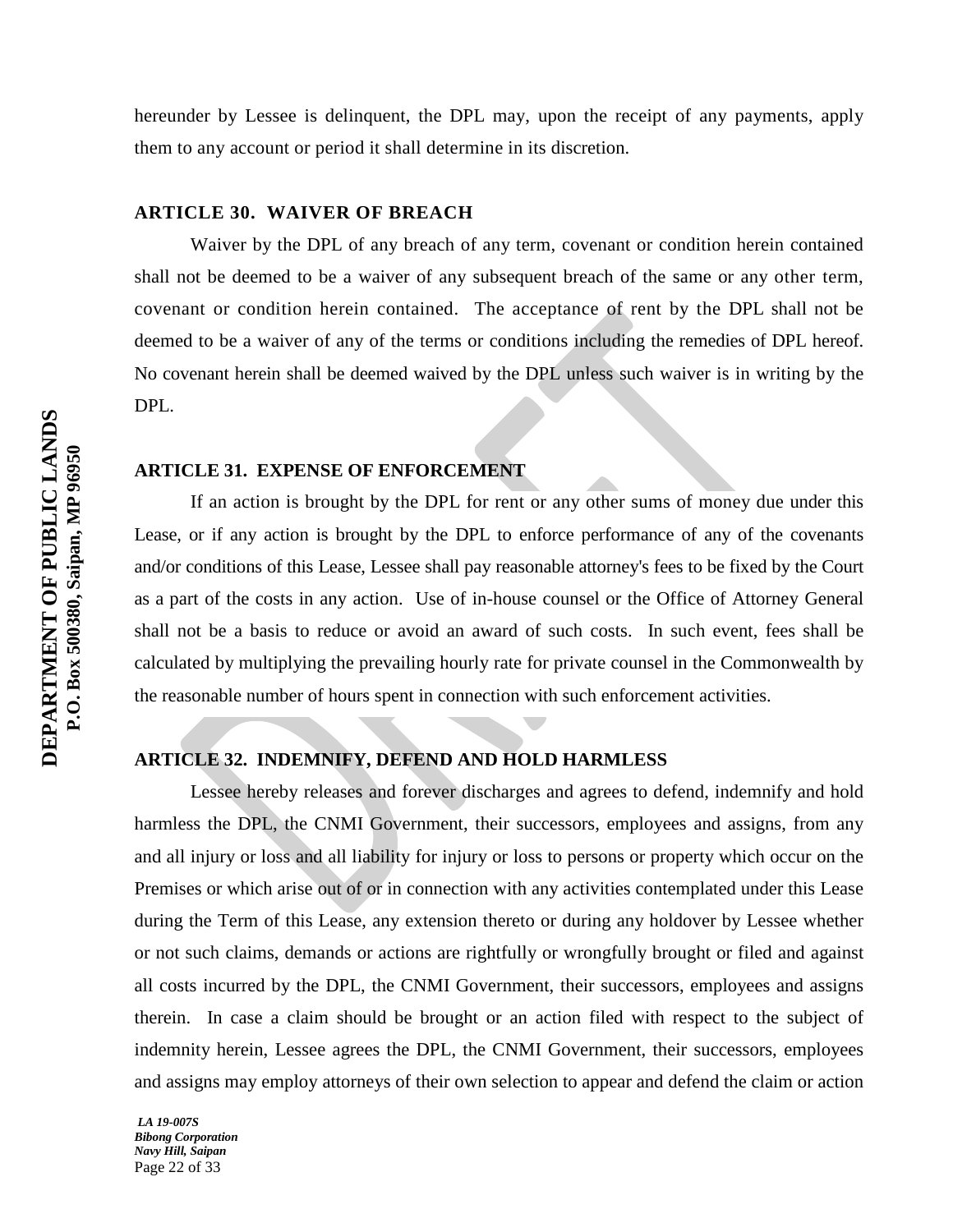hereunder by Lessee is delinquent, the DPL may, upon the receipt of any payments, apply them to any account or period it shall determine in its discretion.

#### **ARTICLE 30. WAIVER OF BREACH**

Waiver by the DPL of any breach of any term, covenant or condition herein contained shall not be deemed to be a waiver of any subsequent breach of the same or any other term, covenant or condition herein contained. The acceptance of rent by the DPL shall not be deemed to be a waiver of any of the terms or conditions including the remedies of DPL hereof. No covenant herein shall be deemed waived by the DPL unless such waiver is in writing by the DPL.

#### **ARTICLE 31. EXPENSE OF ENFORCEMENT**

If an action is brought by the DPL for rent or any other sums of money due under this Lease, or if any action is brought by the DPL to enforce performance of any of the covenants and/or conditions of this Lease, Lessee shall pay reasonable attorney's fees to be fixed by the Court as a part of the costs in any action. Use of in-house counsel or the Office of Attorney General shall not be a basis to reduce or avoid an award of such costs. In such event, fees shall be calculated by multiplying the prevailing hourly rate for private counsel in the Commonwealth by the reasonable number of hours spent in connection with such enforcement activities.

#### **ARTICLE 32. INDEMNIFY, DEFEND AND HOLD HARMLESS**

Lessee hereby releases and forever discharges and agrees to defend, indemnify and hold harmless the DPL, the CNMI Government, their successors, employees and assigns, from any and all injury or loss and all liability for injury or loss to persons or property which occur on the Premises or which arise out of or in connection with any activities contemplated under this Lease during the Term of this Lease, any extension thereto or during any holdover by Lessee whether or not such claims, demands or actions are rightfully or wrongfully brought or filed and against all costs incurred by the DPL, the CNMI Government, their successors, employees and assigns therein. In case a claim should be brought or an action filed with respect to the subject of indemnity herein, Lessee agrees the DPL, the CNMI Government, their successors, employees and assigns may employ attorneys of their own selection to appear and defend the claim or action

*LA 19-007S Bibong Corporation Navy Hill, Saipan* Page 22 of 33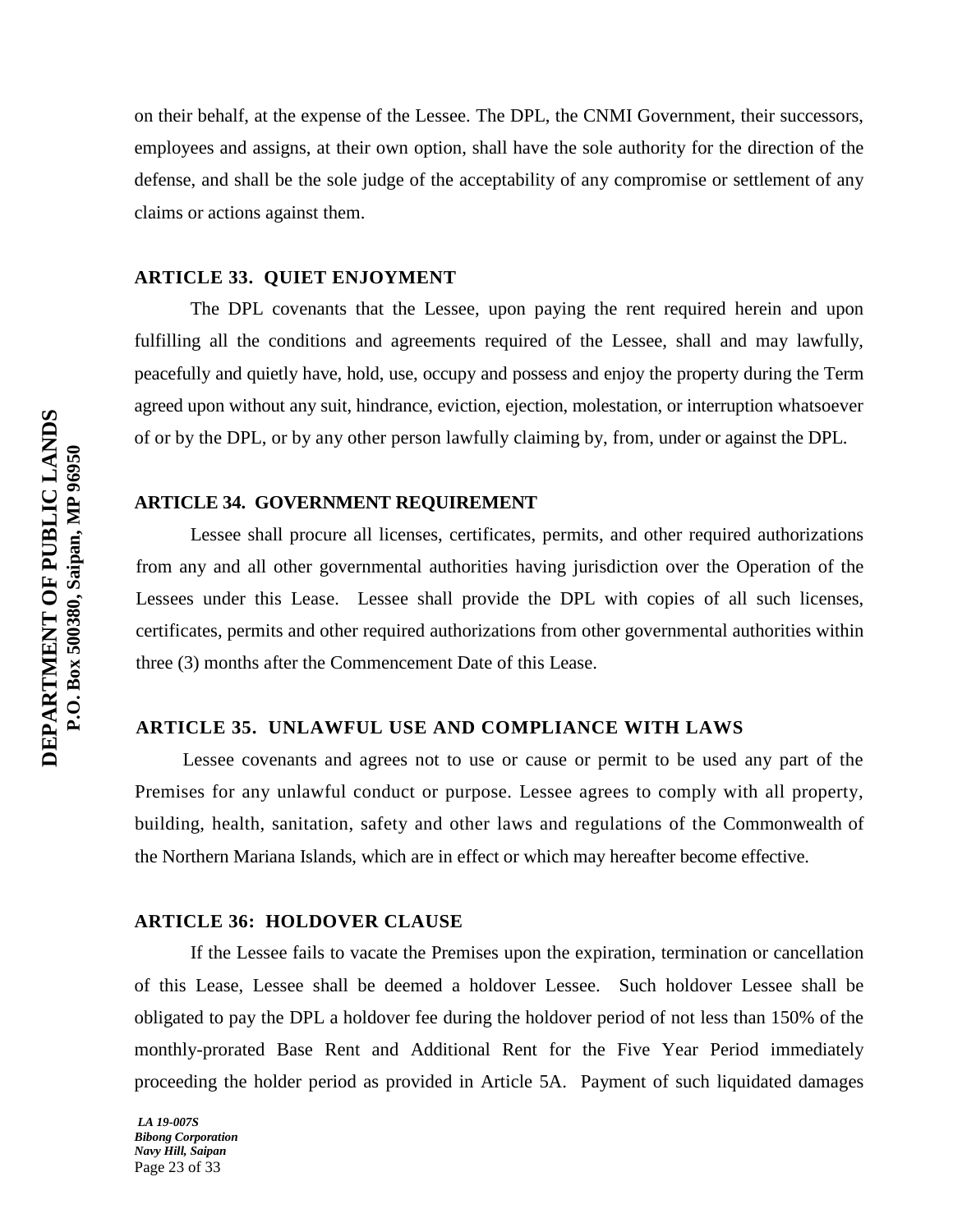on their behalf, at the expense of the Lessee. The DPL, the CNMI Government, their successors, employees and assigns, at their own option, shall have the sole authority for the direction of the defense, and shall be the sole judge of the acceptability of any compromise or settlement of any claims or actions against them.

#### **ARTICLE 33. QUIET ENJOYMENT**

The DPL covenants that the Lessee, upon paying the rent required herein and upon fulfilling all the conditions and agreements required of the Lessee, shall and may lawfully, peacefully and quietly have, hold, use, occupy and possess and enjoy the property during the Term agreed upon without any suit, hindrance, eviction, ejection, molestation, or interruption whatsoever of or by the DPL, or by any other person lawfully claiming by, from, under or against the DPL.

#### **ARTICLE 34. GOVERNMENT REQUIREMENT**

Lessee shall procure all licenses, certificates, permits, and other required authorizations from any and all other governmental authorities having jurisdiction over the Operation of the Lessees under this Lease. Lessee shall provide the DPL with copies of all such licenses, certificates, permits and other required authorizations from other governmental authorities within three (3) months after the Commencement Date of this Lease.

#### **ARTICLE 35. UNLAWFUL USE AND COMPLIANCE WITH LAWS**

Lessee covenants and agrees not to use or cause or permit to be used any part of the Premises for any unlawful conduct or purpose. Lessee agrees to comply with all property, building, health, sanitation, safety and other laws and regulations of the Commonwealth of the Northern Mariana Islands, which are in effect or which may hereafter become effective.

#### **ARTICLE 36: HOLDOVER CLAUSE**

If the Lessee fails to vacate the Premises upon the expiration, termination or cancellation of this Lease, Lessee shall be deemed a holdover Lessee. Such holdover Lessee shall be obligated to pay the DPL a holdover fee during the holdover period of not less than 150% of the monthly-prorated Base Rent and Additional Rent for the Five Year Period immediately proceeding the holder period as provided in Article 5A. Payment of such liquidated damages

*LA 19-007S Bibong Corporation Navy Hill, Saipan* Page 23 of 33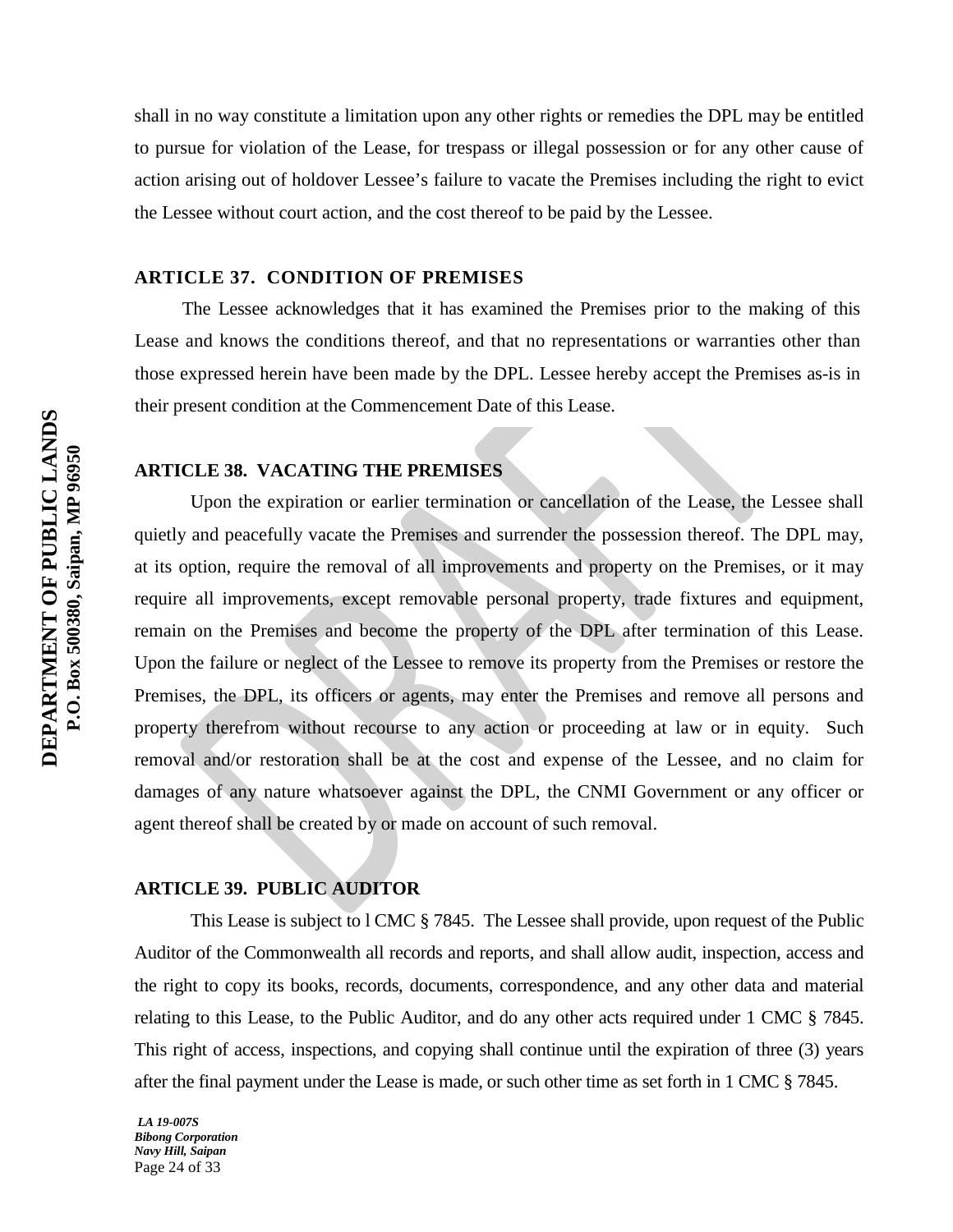shall in no way constitute a limitation upon any other rights or remedies the DPL may be entitled to pursue for violation of the Lease, for trespass or illegal possession or for any other cause of action arising out of holdover Lessee's failure to vacate the Premises including the right to evict the Lessee without court action, and the cost thereof to be paid by the Lessee.

## **ARTICLE 37. CONDITION OF PREMISES**

The Lessee acknowledges that it has examined the Premises prior to the making of this Lease and knows the conditions thereof, and that no representations or warranties other than those expressed herein have been made by the DPL. Lessee hereby accept the Premises as-is in their present condition at the Commencement Date of this Lease.

#### **ARTICLE 38. VACATING THE PREMISES**

Upon the expiration or earlier termination or cancellation of the Lease, the Lessee shall quietly and peacefully vacate the Premises and surrender the possession thereof. The DPL may, at its option, require the removal of all improvements and property on the Premises, or it may require all improvements, except removable personal property, trade fixtures and equipment, remain on the Premises and become the property of the DPL after termination of this Lease. Upon the failure or neglect of the Lessee to remove its property from the Premises or restore the Premises, the DPL, its officers or agents, may enter the Premises and remove all persons and property therefrom without recourse to any action or proceeding at law or in equity. Such removal and/or restoration shall be at the cost and expense of the Lessee, and no claim for damages of any nature whatsoever against the DPL, the CNMI Government or any officer or agent thereof shall be created by or made on account of such removal.

#### **ARTICLE 39. PUBLIC AUDITOR**

This Lease is subject to l CMC § 7845. The Lessee shall provide, upon request of the Public Auditor of the Commonwealth all records and reports, and shall allow audit, inspection, access and the right to copy its books, records, documents, correspondence, and any other data and material relating to this Lease, to the Public Auditor, and do any other acts required under 1 CMC § 7845. This right of access, inspections, and copying shall continue until the expiration of three (3) years after the final payment under the Lease is made, or such other time as set forth in 1 CMC § 7845.

*LA 19-007S Bibong Corporation Navy Hill, Saipan* Page 24 of 33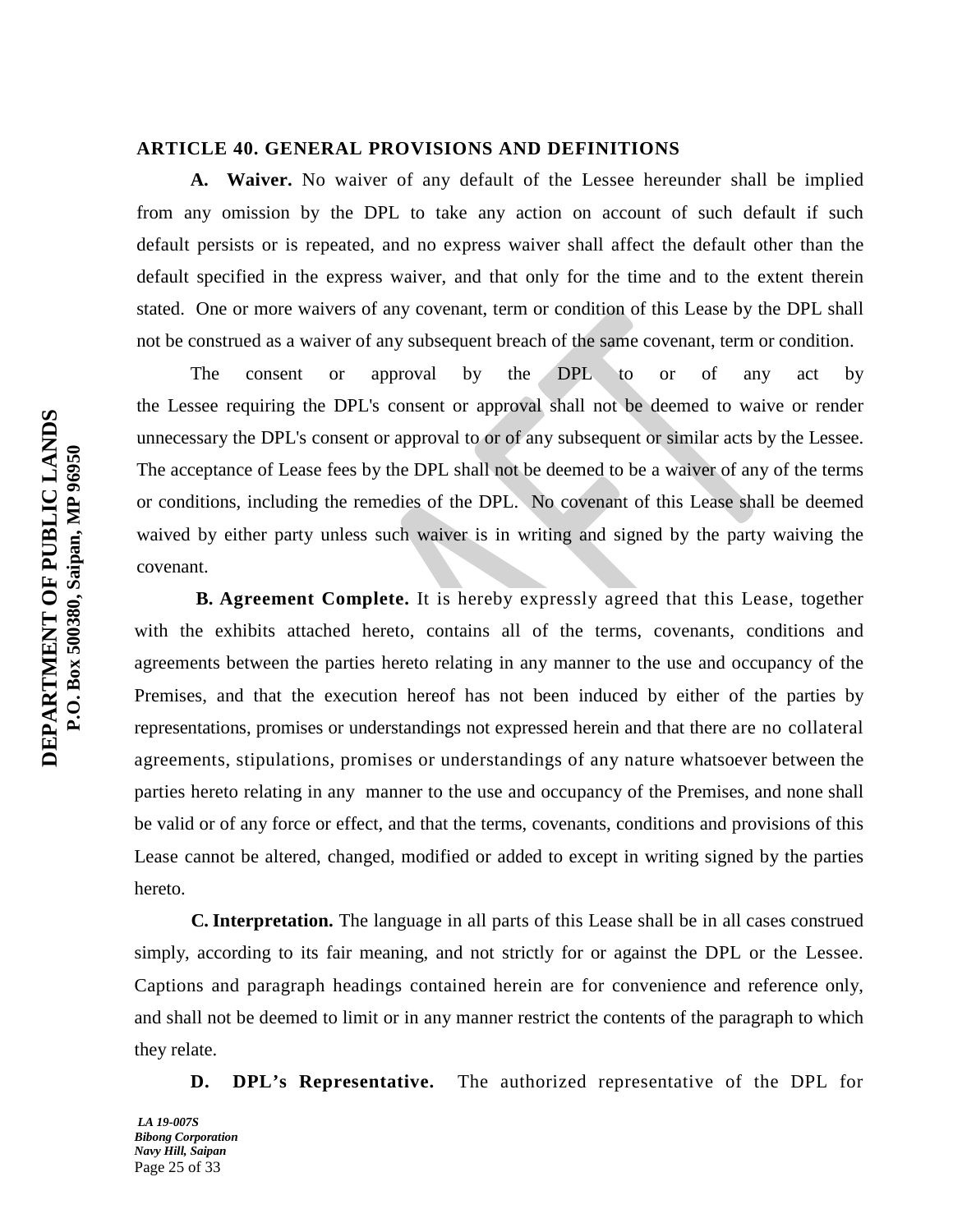#### **ARTICLE 40. GENERAL PROVISIONS AND DEFINITIONS**

**A. Waiver.** No waiver of any default of the Lessee hereunder shall be implied from any omission by the DPL to take any action on account of such default if such default persists or is repeated, and no express waiver shall affect the default other than the default specified in the express waiver, and that only for the time and to the extent therein stated. One or more waivers of any covenant, term or condition of this Lease by the DPL shall not be construed as a waiver of any subsequent breach of the same covenant, term or condition.

The consent or approval by the DPL to or of any act by the Lessee requiring the DPL's consent or approval shall not be deemed to waive or render unnecessary the DPL's consent or approval to or of any subsequent or similar acts by the Lessee. The acceptance of Lease fees by the DPL shall not be deemed to be a waiver of any of the terms or conditions, including the remedies of the DPL. No covenant of this Lease shall be deemed waived by either party unless such waiver is in writing and signed by the party waiving the covenant.

 **B. Agreement Complete.** It is hereby expressly agreed that this Lease, together with the exhibits attached hereto, contains all of the terms, covenants, conditions and agreements between the parties hereto relating in any manner to the use and occupancy of the Premises, and that the execution hereof has not been induced by either of the parties by representations, promises or understandings not expressed herein and that there are no collateral agreements, stipulations, promises or understandings of any nature whatsoever between the parties hereto relating in any manner to the use and occupancy of the Premises, and none shall be valid or of any force or effect, and that the terms, covenants, conditions and provisions of this Lease cannot be altered, changed, modified or added to except in writing signed by the parties hereto.

 **C. Interpretation.** The language in all parts of this Lease shall be in all cases construed simply, according to its fair meaning, and not strictly for or against the DPL or the Lessee. Captions and paragraph headings contained herein are for convenience and reference only, and shall not be deemed to limit or in any manner restrict the contents of the paragraph to which they relate.

**D. DPL's Representative.** The authorized representative of the DPL for

*LA 19-007S Bibong Corporation Navy Hill, Saipan* Page 25 of 33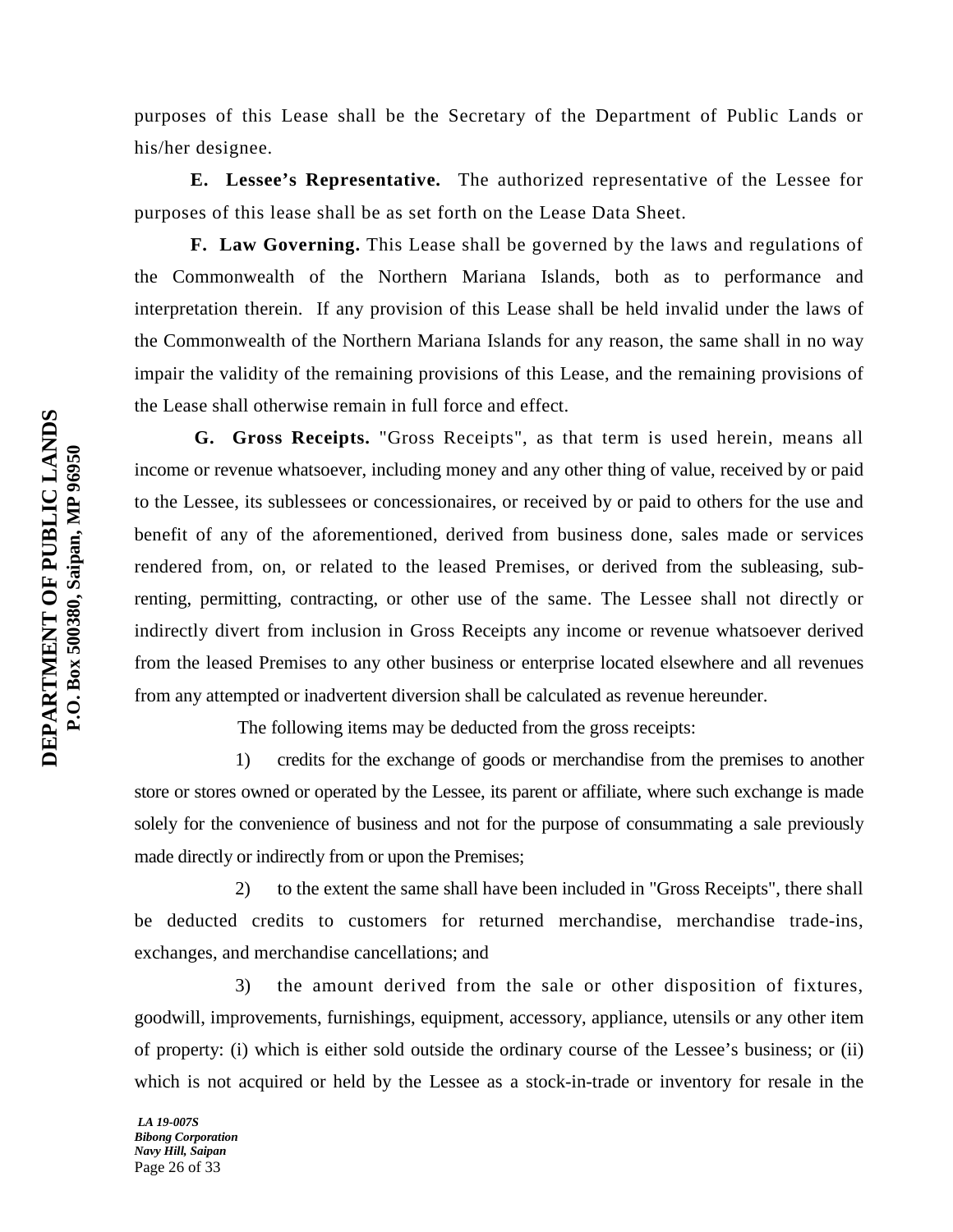purposes of this Lease shall be the Secretary of the Department of Public Lands or his/her designee.

**E. Lessee's Representative.** The authorized representative of the Lessee for purposes of this lease shall be as set forth on the Lease Data Sheet.

**F. Law Governing.** This Lease shall be governed by the laws and regulations of the Commonwealth of the Northern Mariana Islands, both as to performance and interpretation therein. If any provision of this Lease shall be held invalid under the laws of the Commonwealth of the Northern Mariana Islands for any reason, the same shall in no way impair the validity of the remaining provisions of this Lease, and the remaining provisions of the Lease shall otherwise remain in full force and effect.

 **G. Gross Receipts.** "Gross Receipts", as that term is used herein, means all income or revenue whatsoever, including money and any other thing of value, received by or paid to the Lessee, its sublessees or concessionaires, or received by or paid to others for the use and benefit of any of the aforementioned, derived from business done, sales made or services rendered from, on, or related to the leased Premises, or derived from the subleasing, subrenting, permitting, contracting, or other use of the same. The Lessee shall not directly or indirectly divert from inclusion in Gross Receipts any income or revenue whatsoever derived from the leased Premises to any other business or enterprise located elsewhere and all revenues from any attempted or inadvertent diversion shall be calculated as revenue hereunder.

The following items may be deducted from the gross receipts:

1) credits for the exchange of goods or merchandise from the premises to another store or stores owned or operated by the Lessee, its parent or affiliate, where such exchange is made solely for the convenience of business and not for the purpose of consummating a sale previously made directly or indirectly from or upon the Premises;

2) to the extent the same shall have been included in "Gross Receipts", there shall be deducted credits to customers for returned merchandise, merchandise trade-ins, exchanges, and merchandise cancellations; and

3) the amount derived from the sale or other disposition of fixtures, goodwill, improvements, furnishings, equipment, accessory, appliance, utensils or any other item of property: (i) which is either sold outside the ordinary course of the Lessee's business; or (ii) which is not acquired or held by the Lessee as a stock-in-trade or inventory for resale in the

*LA 19-007S Bibong Corporation Navy Hill, Saipan* Page 26 of 33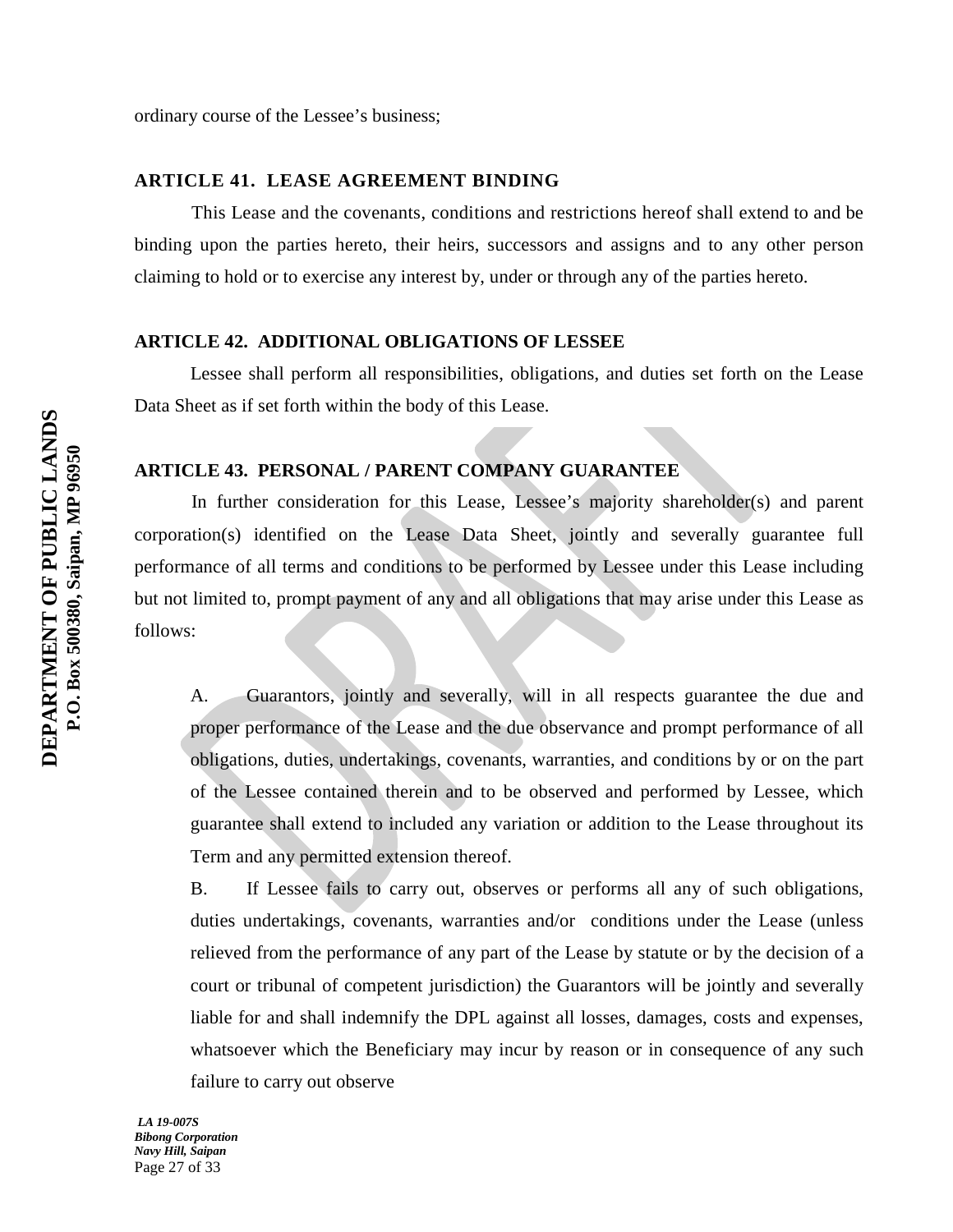ordinary course of the Lessee's business;

# **ARTICLE 41. LEASE AGREEMENT BINDING**

This Lease and the covenants, conditions and restrictions hereof shall extend to and be binding upon the parties hereto, their heirs, successors and assigns and to any other person claiming to hold or to exercise any interest by, under or through any of the parties hereto.

## **ARTICLE 42. ADDITIONAL OBLIGATIONS OF LESSEE**

Lessee shall perform all responsibilities, obligations, and duties set forth on the Lease Data Sheet as if set forth within the body of this Lease.

# **ARTICLE 43. PERSONAL / PARENT COMPANY GUARANTEE**

In further consideration for this Lease, Lessee's majority shareholder(s) and parent corporation(s) identified on the Lease Data Sheet, jointly and severally guarantee full performance of all terms and conditions to be performed by Lessee under this Lease including but not limited to, prompt payment of any and all obligations that may arise under this Lease as follows:

A. Guarantors, jointly and severally, will in all respects guarantee the due and proper performance of the Lease and the due observance and prompt performance of all obligations, duties, undertakings, covenants, warranties, and conditions by or on the part of the Lessee contained therein and to be observed and performed by Lessee, which guarantee shall extend to included any variation or addition to the Lease throughout its Term and any permitted extension thereof.

B. If Lessee fails to carry out, observes or performs all any of such obligations, duties undertakings, covenants, warranties and/or conditions under the Lease (unless relieved from the performance of any part of the Lease by statute or by the decision of a court or tribunal of competent jurisdiction) the Guarantors will be jointly and severally liable for and shall indemnify the DPL against all losses, damages, costs and expenses, whatsoever which the Beneficiary may incur by reason or in consequence of any such failure to carry out observe

*LA 19-007S Bibong Corporation Navy Hill, Saipan* Page 27 of 33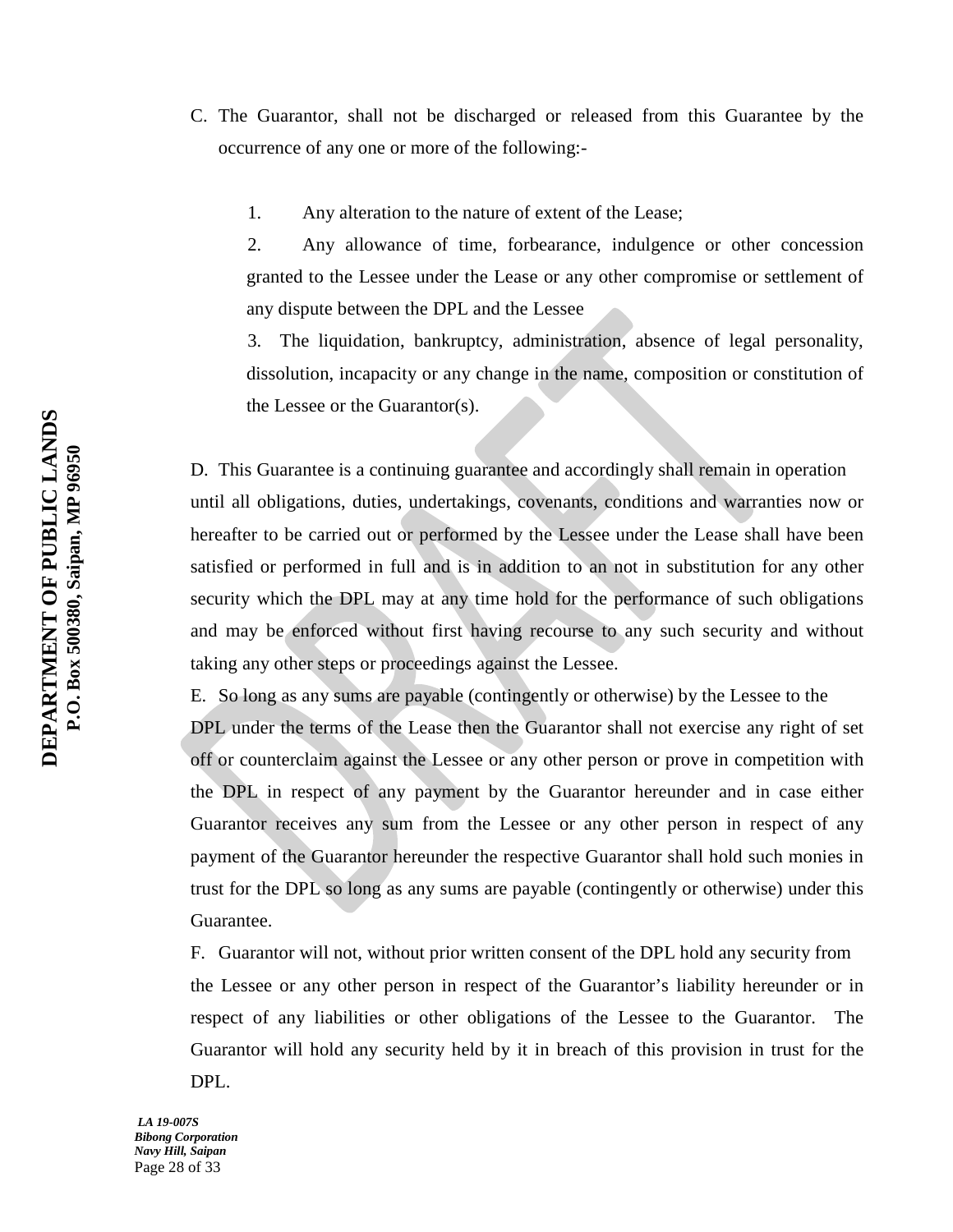- C. The Guarantor, shall not be discharged or released from this Guarantee by the occurrence of any one or more of the following:-
	- 1. Any alteration to the nature of extent of the Lease;

2. Any allowance of time, forbearance, indulgence or other concession granted to the Lessee under the Lease or any other compromise or settlement of any dispute between the DPL and the Lessee

3. The liquidation, bankruptcy, administration, absence of legal personality, dissolution, incapacity or any change in the name, composition or constitution of the Lessee or the Guarantor(s).

D. This Guarantee is a continuing guarantee and accordingly shall remain in operation until all obligations, duties, undertakings, covenants, conditions and warranties now or hereafter to be carried out or performed by the Lessee under the Lease shall have been satisfied or performed in full and is in addition to an not in substitution for any other security which the DPL may at any time hold for the performance of such obligations and may be enforced without first having recourse to any such security and without taking any other steps or proceedings against the Lessee.

E. So long as any sums are payable (contingently or otherwise) by the Lessee to the DPL under the terms of the Lease then the Guarantor shall not exercise any right of set off or counterclaim against the Lessee or any other person or prove in competition with the DPL in respect of any payment by the Guarantor hereunder and in case either Guarantor receives any sum from the Lessee or any other person in respect of any payment of the Guarantor hereunder the respective Guarantor shall hold such monies in trust for the DPL so long as any sums are payable (contingently or otherwise) under this Guarantee.

F. Guarantor will not, without prior written consent of the DPL hold any security from the Lessee or any other person in respect of the Guarantor's liability hereunder or in respect of any liabilities or other obligations of the Lessee to the Guarantor. The Guarantor will hold any security held by it in breach of this provision in trust for the DPL.

*LA 19-007S Bibong Corporation Navy Hill, Saipan* Page 28 of 33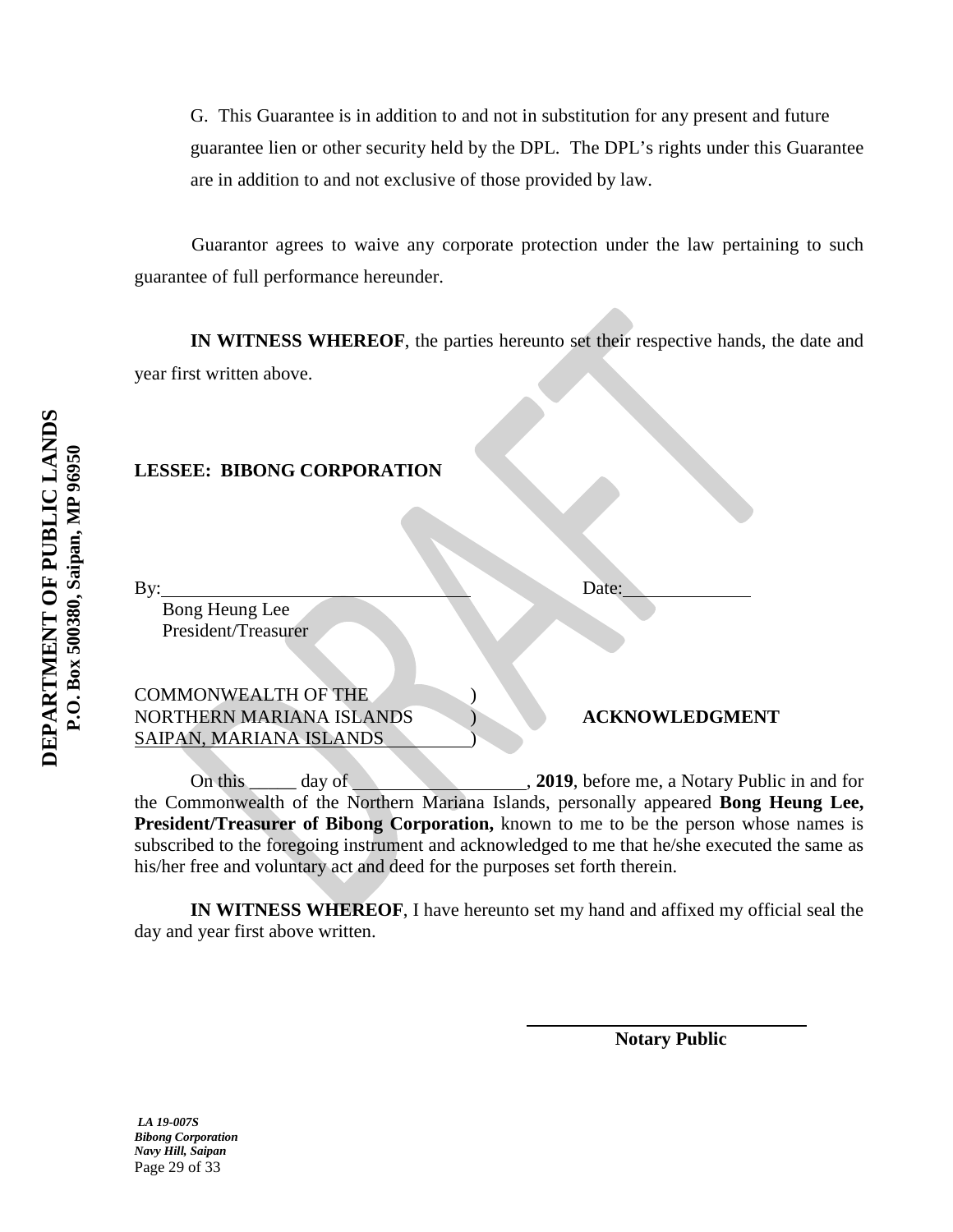G. This Guarantee is in addition to and not in substitution for any present and future guarantee lien or other security held by the DPL. The DPL's rights under this Guarantee are in addition to and not exclusive of those provided by law.

Guarantor agrees to waive any corporate protection under the law pertaining to such guarantee of full performance hereunder.

**IN WITNESS WHEREOF**, the parties hereunto set their respective hands, the date and year first written above.

# **LESSEE: BIBONG CORPORATION**

By: Date:

 Bong Heung Lee President/Treasurer

COMMONWEALTH OF THE ) NORTHERN MARIANA ISLANDS ) **ACKNOWLEDGMENT** SAIPAN, MARIANA ISLANDS

On this day of , **2019**, before me, a Notary Public in and for the Commonwealth of the Northern Mariana Islands, personally appeared **Bong Heung Lee, President/Treasurer of Bibong Corporation,** known to me to be the person whose names is subscribed to the foregoing instrument and acknowledged to me that he/she executed the same as his/her free and voluntary act and deed for the purposes set forth therein.

**IN WITNESS WHEREOF**, I have hereunto set my hand and affixed my official seal the day and year first above written.

 **Notary Public**

DEPARTMENT OF PUBLIC LANDS **DEPARTMENT OF PUBLIC LANDS** P.O. Box 500380, Saipan, MP 96950 **P.O. Box 500380, Saipan, MP 96950**

> *LA 19-007S Bibong Corporation Navy Hill, Saipan* Page 29 of 33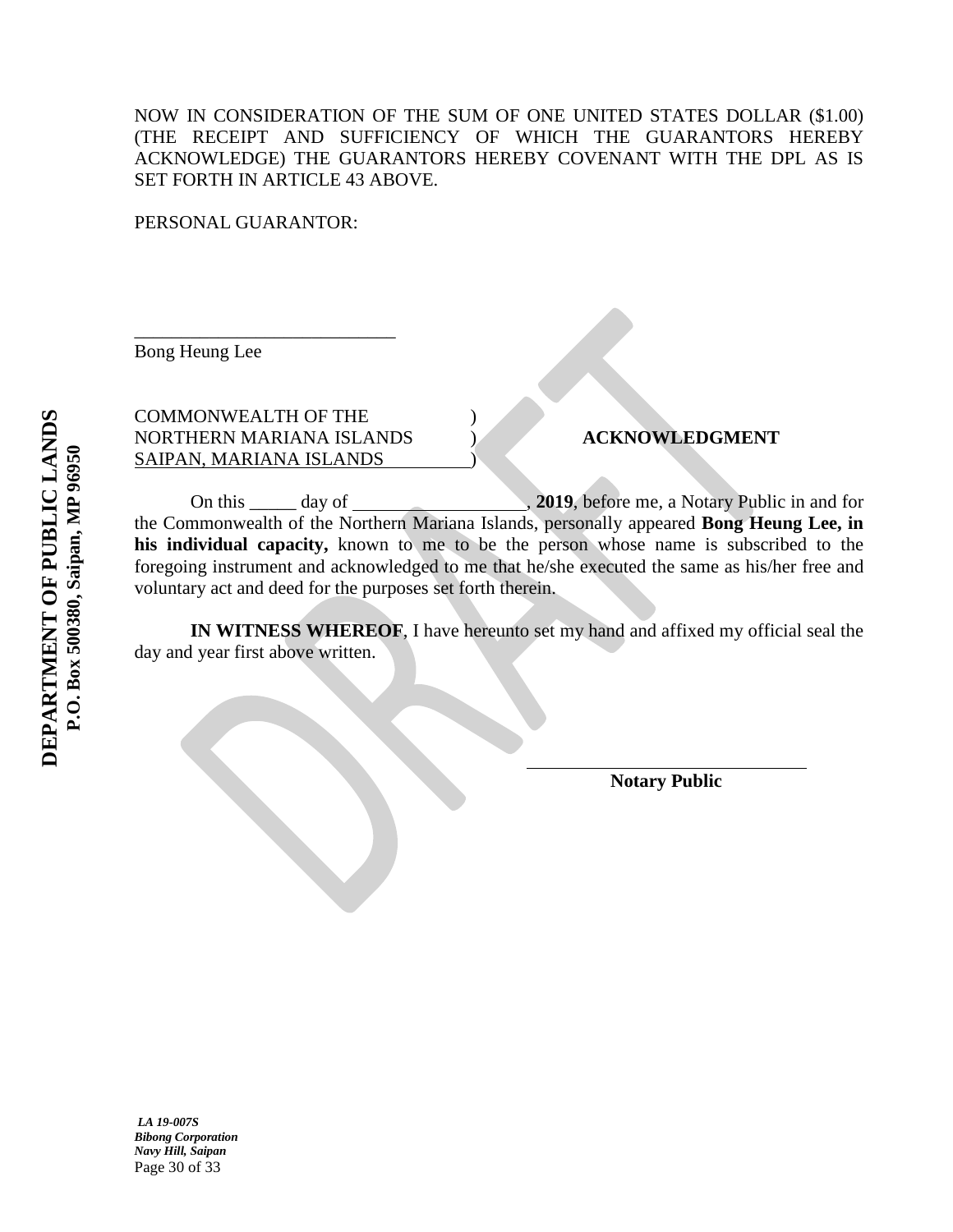# NOW IN CONSIDERATION OF THE SUM OF ONE UNITED STATES DOLLAR (\$1.00) (THE RECEIPT AND SUFFICIENCY OF WHICH THE GUARANTORS HEREBY ACKNOWLEDGE) THE GUARANTORS HEREBY COVENANT WITH THE DPL AS IS SET FORTH IN ARTICLE 43 ABOVE.

PERSONAL GUARANTOR:

Bong Heung Lee

COMMONWEALTH OF THE ) NORTHERN MARIANA ISLANDS ) **ACKNOWLEDGMENT** SAIPAN, MARIANA ISLANDS )

\_\_\_\_\_\_\_\_\_\_\_\_\_\_\_\_\_\_\_\_\_\_\_\_\_\_\_\_

On this \_\_\_\_\_ day of , **2019**, before me, a Notary Public in and for the Commonwealth of the Northern Mariana Islands, personally appeared **Bong Heung Lee, in his individual capacity,** known to me to be the person whose name is subscribed to the foregoing instrument and acknowledged to me that he/she executed the same as his/her free and voluntary act and deed for the purposes set forth therein.

**IN WITNESS WHEREOF**, I have hereunto set my hand and affixed my official seal the day and year first above written.

 **Notary Public**

*LA 19-007S Bibong Corporation Navy Hill, Saipan* Page 30 of 33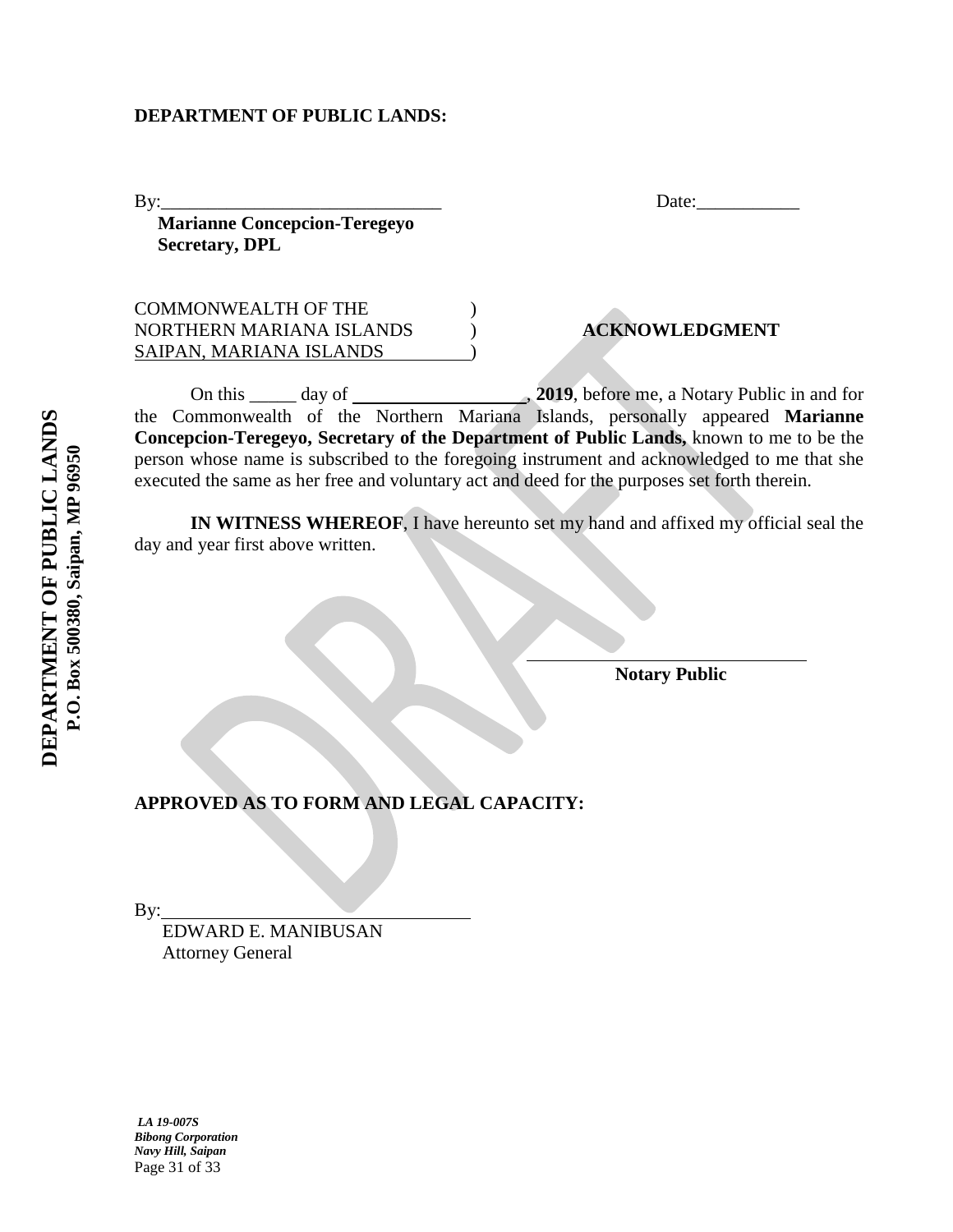#### **DEPARTMENT OF PUBLIC LANDS:**

By: Date:

 **Marianne Concepcion-Teregeyo Secretary, DPL**

COMMONWEALTH OF THE ) NORTHERN MARIANA ISLANDS ) **ACKNOWLEDGMENT** SAIPAN, MARIANA ISLANDS )

On this \_\_\_\_\_ day of , **2019**, before me, a Notary Public in and for the Commonwealth of the Northern Mariana Islands, personally appeared **Marianne Concepcion-Teregeyo, Secretary of the Department of Public Lands,** known to me to be the person whose name is subscribed to the foregoing instrument and acknowledged to me that she executed the same as her free and voluntary act and deed for the purposes set forth therein.

**IN WITNESS WHEREOF**, I have hereunto set my hand and affixed my official seal the day and year first above written.

**Notary Public**

**APPROVED AS TO FORM AND LEGAL CAPACITY:**

By:

 EDWARD E. MANIBUSAN Attorney General

*LA 19-007S Bibong Corporation Navy Hill, Saipan* Page 31 of 33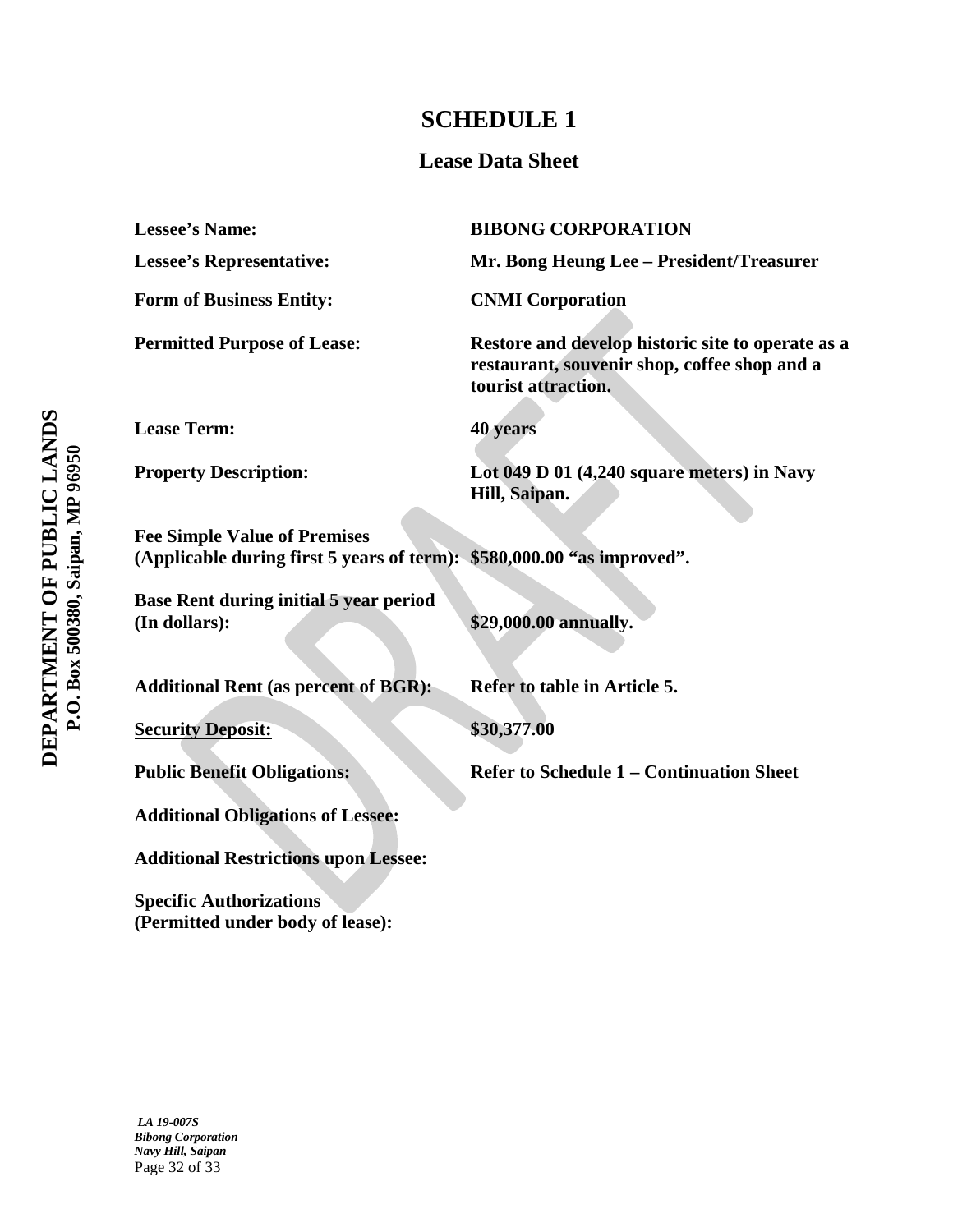# **SCHEDULE 1**

# **Lease Data Sheet**

| <b>Lessee's Name:</b>                                                                                         | <b>BIBONG CORPORATION</b>                                                                                                |
|---------------------------------------------------------------------------------------------------------------|--------------------------------------------------------------------------------------------------------------------------|
| <b>Lessee's Representative:</b>                                                                               | Mr. Bong Heung Lee - President/Treasurer                                                                                 |
| <b>Form of Business Entity:</b>                                                                               | <b>CNMI</b> Corporation                                                                                                  |
| <b>Permitted Purpose of Lease:</b>                                                                            | Restore and develop historic site to operate as a<br>restaurant, souvenir shop, coffee shop and a<br>tourist attraction. |
| <b>Lease Term:</b>                                                                                            | 40 years                                                                                                                 |
| <b>Property Description:</b>                                                                                  | Lot $049$ D 01 (4,240 square meters) in Navy<br>Hill, Saipan.                                                            |
| <b>Fee Simple Value of Premises</b><br>(Applicable during first 5 years of term): \$580,000.00 "as improved". |                                                                                                                          |
| Base Rent during initial 5 year period<br>(In dollars):                                                       | \$29,000.00 annually.                                                                                                    |
| <b>Additional Rent (as percent of BGR):</b>                                                                   | Refer to table in Article 5.                                                                                             |
| <b>Security Deposit:</b>                                                                                      | \$30,377.00                                                                                                              |
| <b>Public Benefit Obligations:</b>                                                                            | <b>Refer to Schedule 1 – Continuation Sheet</b>                                                                          |
| <b>Additional Obligations of Lessee:</b>                                                                      |                                                                                                                          |
| <b>Additional Restrictions upon Lessee:</b>                                                                   |                                                                                                                          |

**Specific Authorizations (Permitted under body of lease):**

*LA 19-007S Bibong Corporation Navy Hill, Saipan* Page 32 of 33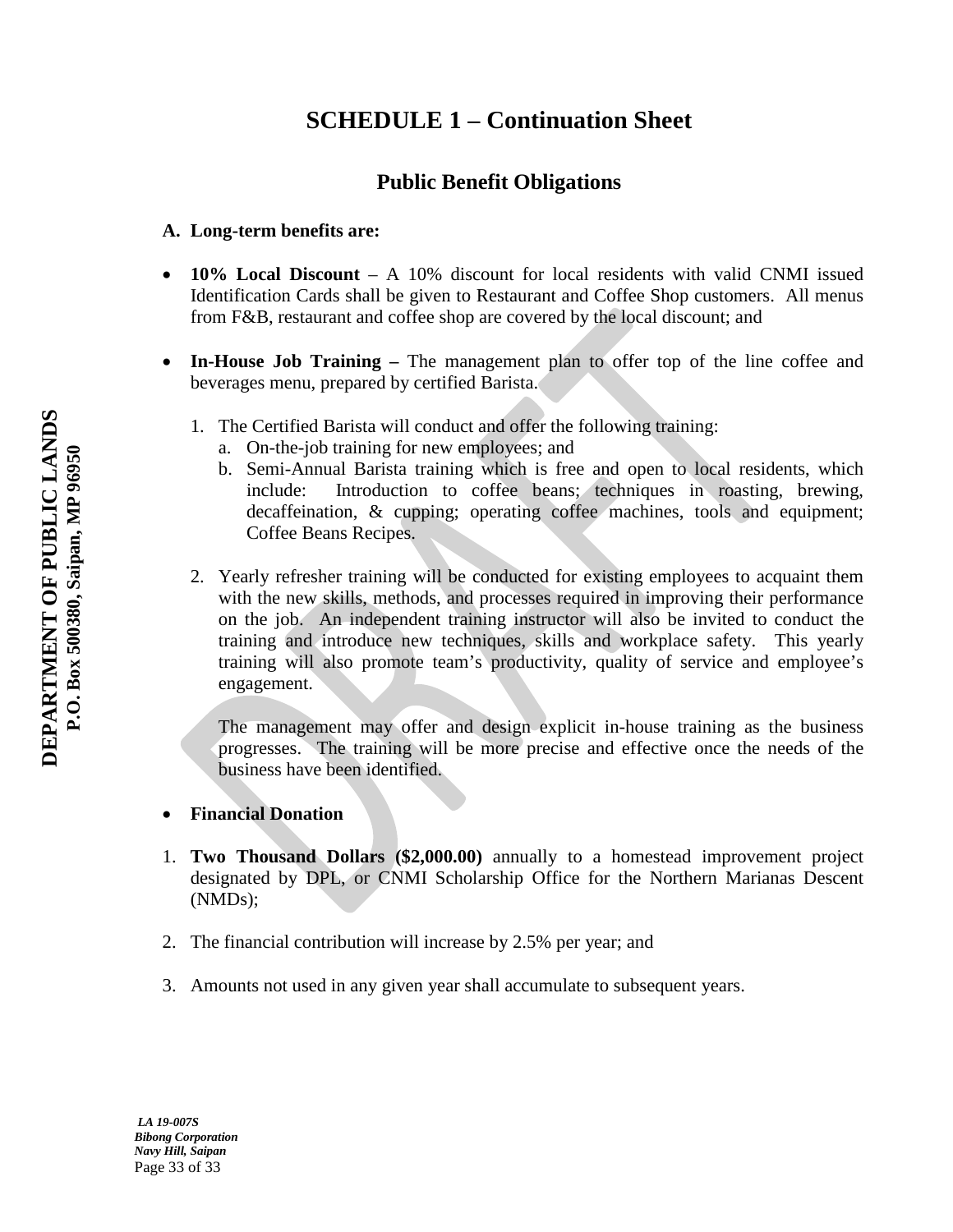# **SCHEDULE 1 – Continuation Sheet**

# **Public Benefit Obligations**

# **A. Long-term benefits are:**

- **10% Local Discount** A 10% discount for local residents with valid CNMI issued Identification Cards shall be given to Restaurant and Coffee Shop customers. All menus from F&B, restaurant and coffee shop are covered by the local discount; and
- **In-House Job Training –** The management plan to offer top of the line coffee and beverages menu, prepared by certified Barista.
	- 1. The Certified Barista will conduct and offer the following training:
		- a. On-the-job training for new employees; and
		- b. Semi-Annual Barista training which is free and open to local residents, which include: Introduction to coffee beans; techniques in roasting, brewing, decaffeination, & cupping; operating coffee machines, tools and equipment; Coffee Beans Recipes.
	- 2. Yearly refresher training will be conducted for existing employees to acquaint them with the new skills, methods, and processes required in improving their performance on the job. An independent training instructor will also be invited to conduct the training and introduce new techniques, skills and workplace safety. This yearly training will also promote team's productivity, quality of service and employee's engagement.

The management may offer and design explicit in-house training as the business progresses. The training will be more precise and effective once the needs of the business have been identified.

# • **Financial Donation**

- 1. **Two Thousand Dollars (\$2,000.00)** annually to a homestead improvement project designated by DPL, or CNMI Scholarship Office for the Northern Marianas Descent (NMDs);
- 2. The financial contribution will increase by 2.5% per year; and
- 3. Amounts not used in any given year shall accumulate to subsequent years.

*LA 19-007S Bibong Corporation Navy Hill, Saipan* Page 33 of 33